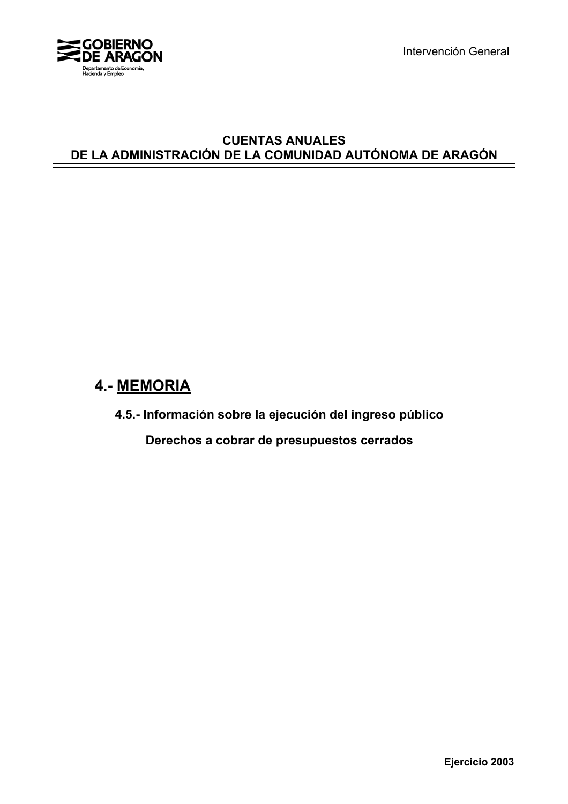

Intervención General

### **CUENTAS ANUALES DE LA ADMINISTRACIÓN DE LA COMUNIDAD AUTÓNOMA DE ARAGÓN**

# **4.- MEMORIA**

**4.5.- Información sobre la ejecución del ingreso público**

 **Derechos a cobrar de presupuestos cerrados**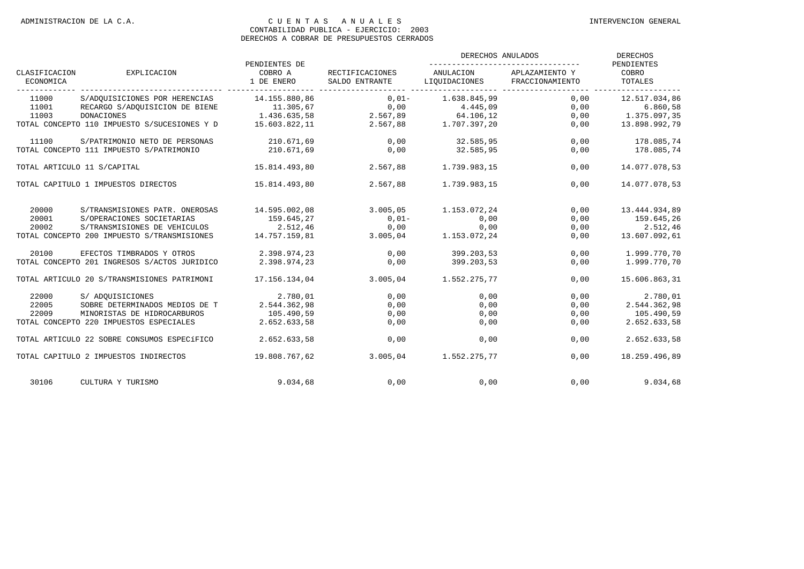|                                     |                                              | PENDIENTES DE         | RECTIFICACIONES<br>SALDO ENTRANTE   | DERECHOS ANULADOS          | <b>DERECHOS</b><br>PENDIENTES     |                  |
|-------------------------------------|----------------------------------------------|-----------------------|-------------------------------------|----------------------------|-----------------------------------|------------------|
| CLASIFICACION<br>ECONOMICA          | EXPLICACION                                  | COBRO A<br>1 DE ENERO |                                     | ANULACION<br>LIQUIDACIONES | APLAZAMIENTO Y<br>FRACCIONAMIENTO | COBRO<br>TOTALES |
| 11000                               | S/ADOUISICIONES POR HERENCIAS 14.155.880,86  |                       | $0,01-1.638.845,99$                 |                            | 0,00                              | 12.517.034,86    |
| 11001                               | RECARGO S/ADQUISICION DE BIENE               |                       | $11.305,67$ $0,00$ $4.445,09$       |                            | 0,00                              | 6.860,58         |
| 11003                               | DONACIONES                                   |                       | 1.436.635,58 2.567,89 64.106,12     |                            | 0,00                              | 1.375.097,35     |
|                                     | TOTAL CONCEPTO 110 IMPUESTO S/SUCESIONES Y D |                       | 15.603.822,11 2.567,88 1.707.397,20 |                            | 0,00                              | 13.898.992,79    |
| 11100                               | S/PATRIMONIO NETO DE PERSONAS                | 210.671,69            | 0,00                                | 32.585,95                  | 0,00                              | 178.085,74       |
|                                     | TOTAL CONCEPTO 111 IMPUESTO S/PATRIMONIO     | 210.671,69            | 0,00                                | 32.585,95                  | 0,00                              | 178.085,74       |
|                                     | TOTAL ARTICULO 11 S/CAPITAL                  | 15.814.493,80         | 2.567,88                            | 1.739.983,15               | 0.00                              | 14.077.078.53    |
| TOTAL CAPITULO 1 IMPUESTOS DIRECTOS |                                              | 15.814.493,80         | 2.567,88                            | 1.739.983,15               | 0.00                              | 14.077.078,53    |
| 20000                               | S/TRANSMISIONES PATR. ONEROSAS               | 14.595.002,08         | 3.005, 05                           | 1.153.072,24               | 0,00                              | 13.444.934,89    |
| 20001                               | S/OPERACIONES SOCIETARIAS                    | 159.645,27            | $0,01-$                             | 0,00                       | 0,00                              | 159.645,26       |
| 20002                               | S/TRANSMISIONES DE VEHICULOS                 | 2.512,46              | 0,00                                | 0,00                       | 0,00                              | 2.512,46         |
|                                     | TOTAL CONCEPTO 200 IMPUESTO S/TRANSMISIONES  | 14.757.159,81         | 3.005,04                            | 1.153.072,24               | 0,00                              | 13.607.092,61    |
| 20100                               | EFECTOS TIMBRADOS Y OTROS                    | 2.398.974,23          | 0,00                                | 399.203,53                 | 0,00                              | 1.999.770,70     |
|                                     | TOTAL CONCEPTO 201 INGRESOS S/ACTOS JURIDICO | 2.398.974,23          | 0,00                                | 399.203,53                 | 0,00                              | 1.999.770,70     |
|                                     | TOTAL ARTICULO 20 S/TRANSMISIONES PATRIMONI  | 17.156.134,04         | 3.005,04                            | 1.552.275,77               | 0.00                              | 15.606.863.31    |
| 22000                               | S/ ADOUISICIONES                             | 2.780,01              | 0,00                                | 0,00                       | 0,00                              | 2.780,01         |
| 22005                               | SOBRE DETERMINADOS MEDIOS DE T               | 2.544.362.98          | 0,00                                | 0.00                       | 0.00                              | 2.544.362,98     |
| 22009                               | MINORISTAS DE HIDROCARBUROS                  | 105.490,59            | 0,00                                | 0,00                       | 0,00                              | 105.490,59       |
|                                     | TOTAL CONCEPTO 220 IMPUESTOS ESPECIALES      | 2.652.633,58          | 0,00                                | 0,00                       | 0,00                              | 2.652.633,58     |
|                                     | TOTAL ARTICULO 22 SOBRE CONSUMOS ESPECÍFICO  | 2.652.633,58          | 0,00                                | 0,00                       | 0,00                              | 2.652.633,58     |
|                                     | TOTAL CAPITULO 2 IMPUESTOS INDIRECTOS        | 19.808.767.62         | 3.005,04                            | 1.552.275,77               | 0.00                              | 18.259.496.89    |
| 30106                               | CULTURA Y TURISMO                            | 9.034,68              |                                     | 0.00<br>0.00               | 0.00                              | 9.034.68         |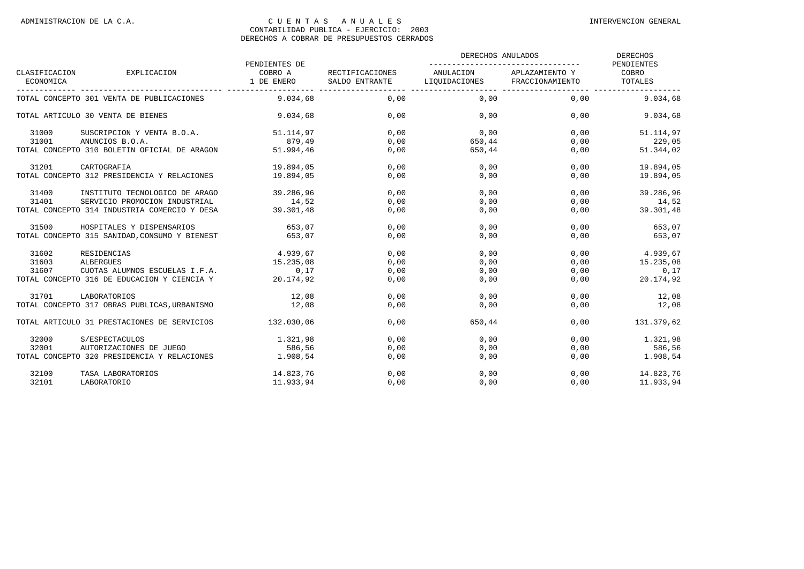|                            | EXPLICACION                                   | PENDIENTES DE         |                                   | DERECHOS ANULADOS          | DERECHOS<br>PENDIENTES            |                  |
|----------------------------|-----------------------------------------------|-----------------------|-----------------------------------|----------------------------|-----------------------------------|------------------|
| CLASIFICACION<br>ECONOMICA |                                               | COBRO A<br>1 DE ENERO | RECTIFICACIONES<br>SALDO ENTRANTE | ANULACION<br>LIOUIDACIONES | APLAZAMIENTO Y<br>FRACCIONAMIENTO | COBRO<br>TOTALES |
|                            | TOTAL CONCEPTO 301 VENTA DE PUBLICACIONES     | 9.034.68              | 0.00                              | 0.00                       | 0.00                              | 9.034.68         |
|                            | TOTAL ARTICULO 30 VENTA DE BIENES             | 9.034,68              | 0,00                              | 0,00                       | 0,00                              | 9.034,68         |
| 31000                      | SUSCRIPCION Y VENTA B.O.A.                    | 51.114,97             | 0.00                              | 0,00                       | 0,00                              | 51.114,97        |
| 31001                      | ANUNCIOS B.O.A.                               | 879,49                | 0,00                              | 650,44                     | 0,00                              | 229,05           |
|                            | TOTAL CONCEPTO 310 BOLETIN OFICIAL DE ARAGON  | 51.994,46             | 0,00                              | 650,44                     | 0,00                              | 51.344,02        |
| 31201                      | CARTOGRAFIA                                   | 19.894,05             | 0,00                              | 0,00                       | 0,00                              | 19.894,05        |
|                            | TOTAL CONCEPTO 312 PRESIDENCIA Y RELACIONES   | 19.894.05             | 0.00                              | 0.00                       | 0.00                              | 19.894.05        |
| 31400                      | INSTITUTO TECNOLOGICO DE ARAGO                | 39.286,96             | 0,00                              | 0,00                       | 0,00                              | 39.286,96        |
| 31401                      | SERVICIO PROMOCION INDUSTRIAL                 | 14,52                 | 0,00                              | 0.00                       | 0,00                              | 14,52            |
|                            | TOTAL CONCEPTO 314 INDUSTRIA COMERCIO Y DESA  | 39.301,48             | 0,00                              | 0,00                       | 0,00                              | 39.301,48        |
| 31500                      | HOSPITALES Y DISPENSARIOS                     | 653,07                | 0.00                              | 0.00                       | 0.00                              | 653,07           |
|                            | TOTAL CONCEPTO 315 SANIDAD, CONSUMO Y BIENEST | 653,07                | 0,00                              | 0,00                       | 0,00                              | 653,07           |
| 31602                      | RESIDENCIAS                                   | 4.939.67              | 0.00                              | 0.00                       | 0.00                              | 4.939.67         |
| 31603                      | <b>ALBERGUES</b>                              | 15.235,08             | 0,00                              | 0,00                       | 0,00                              | 15.235,08        |
| 31607                      | CUOTAS ALUMNOS ESCUELAS I.F.A.                | 0,17                  | 0,00                              | 0,00                       | 0,00                              | 0,17             |
|                            | TOTAL CONCEPTO 316 DE EDUCACION Y CIENCIA Y   | 20.174,92             | 0,00                              | 0,00                       | 0,00                              | 20.174,92        |
| 31701                      | LABORATORIOS                                  | 12,08                 | 0.00                              | 0.00                       | 0.00                              | 12,08            |
|                            | TOTAL CONCEPTO 317 OBRAS PUBLICAS, URBANISMO  | 12,08                 | 0,00                              | 0,00                       | 0,00                              | 12,08            |
|                            | TOTAL ARTICULO 31 PRESTACIONES DE SERVICIOS   | 132.030,06            | 0.00                              | 650,44                     | 0.00                              | 131.379.62       |
| 32000                      | S/ESPECTACULOS                                | 1.321,98              | 0,00                              | 0,00                       | 0,00                              | 1.321,98         |
| 32001                      | AUTORIZACIONES DE JUEGO                       | 586,56                | 0,00                              | 0.00                       | 0,00                              | 586,56           |
|                            | TOTAL CONCEPTO 320 PRESIDENCIA Y RELACIONES   | 1.908,54              | 0,00                              | 0,00                       | 0,00                              | 1.908,54         |
| 32100                      | TASA LABORATORIOS                             | 14.823,76             | 0,00                              | 0,00                       | 0,00                              | 14.823,76        |
| 32101                      | LABORATORIO                                   | 11.933,94             | 0,00                              | 0,00                       | 0,00                              | 11.933.94        |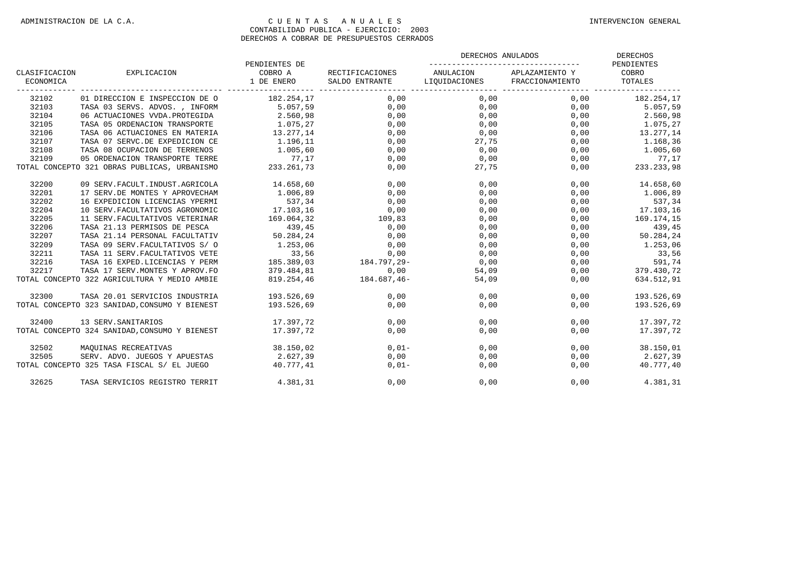|                            |                                               |                           |                                                                            | DERECHOS ANULADOS | DERECHOS<br>PENDIENTES         |                              |  |
|----------------------------|-----------------------------------------------|---------------------------|----------------------------------------------------------------------------|-------------------|--------------------------------|------------------------------|--|
| CLASIFICACION<br>ECONOMICA | EXPLICACION                                   | PENDIENTES DE<br>COBRO A  | RECTIFICACIONES<br>1 DE ENERO SALDO ENTRANTE LIOUIDACIONES FRACCIONAMIENTO |                   | ANULACION APLAZAMIENTO Y COBRO | TOTALES                      |  |
| 32102                      | 01 DIRECCION E INSPECCION DE O                | 182.254,17                | 0.00                                                                       | 0.00              |                                | $0,00$ 182.254,17            |  |
| 32103                      | TASA 03 SERVS. ADVOS., INFORM 5.057,59        |                           | 0.00                                                                       | 0.00              |                                | $0,00$ 5.057,59              |  |
| 32104                      | 06 ACTUACIONES VVDA.PROTEGIDA                 | 2.560,98                  | 0,00                                                                       | 0,00              |                                | 0,00<br>2.560,98             |  |
| 32105                      | TASA 05 ORDENACION TRANSPORTE                 | 1.075, 27                 | 0,00                                                                       | 0,00              |                                | 0,00<br>1.075,27             |  |
| 32106                      | TASA 06 ACTUACIONES EN MATERIA                | 13.277,14                 | 0,00                                                                       | 0,00              | 0,00                           | 13.277,14                    |  |
| 32107                      | TASA 07 SERVC.DE EXPEDICION CE                | 1.196,11                  | 0,00                                                                       | 27,75             | 0,00                           | 1.168,36                     |  |
| 32108                      | TASA 08 OCUPACION DE TERRENOS                 | 1.005,60                  | 0,00                                                                       | 0,00              | 0,00                           | 1.005,60                     |  |
| 32109                      | 05 ORDENACION TRANSPORTE TERRE                | 77,17                     | 0,00                                                                       | 0,00              | 0,00                           | 77,17                        |  |
|                            | TOTAL CONCEPTO 321 OBRAS PUBLICAS, URBANISMO  | 77 , 17<br>233 . 261 , 73 | 0,00                                                                       | 27,75             |                                | $0,00$<br>0,00<br>233.233.98 |  |
| 32200                      | 09 SERV. FACULT. INDUST. AGRICOLA             | 14.658,60                 | 0,00                                                                       | 0,00              |                                | $0,00$ 14.658,60             |  |
| 32201                      | 17 SERV.DE MONTES Y APROVECHAM                | 1.006,89                  | 0,00                                                                       | 0,00              | 0,00                           | 1.006,89                     |  |
| 32202                      | 16 EXPEDICION LICENCIAS YPERMI                | 537,34                    | 0,00                                                                       | 0,00              | 0,00                           | 537,34                       |  |
| 32204                      | 10 SERV. FACULTATIVOS AGRONOMIC               | 17.103,16                 | 0,00                                                                       | 0,00              | 0,00                           | 17.103,16                    |  |
| 32205                      | 11 SERV. FACULTATIVOS VETERINAR               | 169.064,32                | 109,83                                                                     | 0,00              | 0,00                           | 169.174,15                   |  |
| 32206                      | TASA 21.13 PERMISOS DE PESCA                  | 439,45                    | 0,00                                                                       | 0,00              | 0,00                           | 439,45                       |  |
| 32207                      | TASA 21.14 PERSONAL FACULTATIV                | 50.284, 24                | 0,00                                                                       | 0,00              | 0,00                           | 50.284,24                    |  |
| 32209                      | TASA 09 SERV. FACULTATIVOS S/ 0               | 1.253,06                  | 0,00                                                                       | 0,00              | 0,00                           | 1.253,06                     |  |
| 32211                      | TASA 11 SERV. FACULTATIVOS VETE               | 33,56                     | 0,00                                                                       | 0,00              | 0,00                           | 33,56                        |  |
| 32216                      | TASA 16 EXPED.LICENCIAS Y PERM                | $33,56$<br>185.389,03     | 184.797,29-                                                                | $0,00$            | 0,00                           | 591,74                       |  |
| 32217                      | TASA 17 SERV. MONTES Y APROV. FO              | 379.484,81                | 0.00                                                                       | 54,09             | 0,00                           | 91,74<br>379.430,72          |  |
|                            | TOTAL CONCEPTO 322 AGRICULTURA Y MEDIO AMBIE  | 819.254,46                | $184.687,46-$                                                              | 54,09             | 0,00                           | 634.512,91                   |  |
| 32300                      | TASA 20.01 SERVICIOS INDUSTRIA                | 193.526,69                | 0,00                                                                       | 0.00              | 0,00                           | 193.526,69                   |  |
|                            | TOTAL CONCEPTO 323 SANIDAD, CONSUMO Y BIENEST | 193.526,69                | 0,00                                                                       | 0,00              | 0,00                           | 193.526,69                   |  |
| 32400                      | 13 SERV. SANITARIOS                           | 17.397.72                 | 0,00                                                                       | 0,00              | 0,00                           | 17.397,72                    |  |
|                            | TOTAL CONCEPTO 324 SANIDAD, CONSUMO Y BIENEST | 17.397.72                 | 0,00                                                                       | 0,00              | 0,00                           | 17.397,72                    |  |
| 32502                      | MAQUINAS RECREATIVAS                          | 38.150,02                 | $0,01-$                                                                    | 0,00              |                                | 0,00<br>38.150,01            |  |
| 32505                      | SERV. ADVO. JUEGOS Y APUESTAS                 | 2.627.39                  | 0,00                                                                       | 0,00              | 0,00                           | 2.627.39                     |  |
|                            | TOTAL CONCEPTO 325 TASA FISCAL S/ EL JUEGO    | 40.777.41                 | $0.01-$                                                                    | 0,00              | 0,00                           | 40.777,40                    |  |
| 32625                      | TASA SERVICIOS REGISTRO TERRIT                | 4.381,31                  | 0,00                                                                       | 0,00              | 0,00                           | 4.381,31                     |  |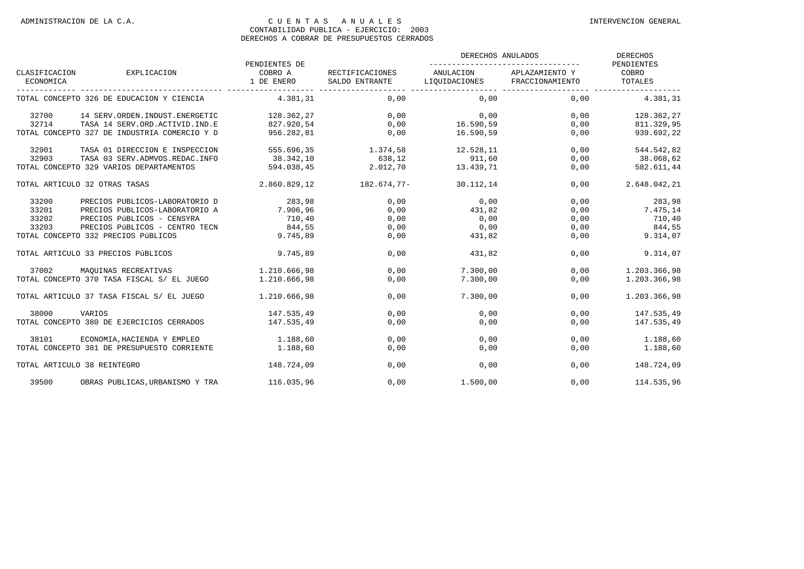|                            |                                              | PENDIENTES DE         |                                   | DERECHOS ANULADOS             | DERECHOS<br>PENDIENTES   |                  |
|----------------------------|----------------------------------------------|-----------------------|-----------------------------------|-------------------------------|--------------------------|------------------|
| CLASIFICACION<br>ECONOMICA | EXPLICACION                                  | COBRO A<br>1 DE ENERO | RECTIFICACIONES<br>SALDO ENTRANTE | LIQUIDACIONES FRACCIONAMIENTO | ANULACION APLAZAMIENTO Y | COBRO<br>TOTALES |
|                            | TOTAL CONCEPTO 326 DE EDUCACION Y CIENCIA    | 4.381.31              | 0,00                              | 0.00                          | 0.00                     | 4.381.31         |
| 32700                      | 14 SERV.ORDEN.INDUST.ENERGETIC               | 128.362,27            | 0,00                              | 0,00                          | 0,00                     | 128.362,27       |
| 32714                      | TASA 14 SERV.ORD.ACTIVID.IND.E               | 827.920.54            | 0,00                              | 16.590,59                     | 0,00                     | 811.329,95       |
|                            | TOTAL CONCEPTO 327 DE INDUSTRIA COMERCIO Y D | 956.282,81            | 0,00                              | 16.590.59                     | 0,00                     | 939.692,22       |
| 32901                      | TASA 01 DIRECCION E INSPECCION               | 555.696,35            | 1.374,58                          | 12.528,11                     | 0,00                     | 544.542,82       |
| 32903                      | TASA 03 SERV. ADMVOS. REDAC. INFO            | 38.342,10             | 638,12                            | 911,60                        | 0,00                     | 38.068,62        |
|                            | TOTAL CONCEPTO 329 VARIOS DEPARTAMENTOS      | 594.038,45            | 2.012,70                          | 13.439.71                     | 0,00                     | 582.611,44       |
|                            | TOTAL ARTICULO 32 OTRAS TASAS                | 2.860.829.12          | 182.674,77-                       | 30.112,14                     | 0.00                     | 2.648.042.21     |
| 33200                      | PRECIOS PUBLICOS-LABORATORIO D               | 283,98                | 0,00                              | 0,00                          | 0,00                     | 283,98           |
| 33201                      | PRECIOS PUBLICOS-LABORATORIO A               | 7.906,96              | 0,00                              | 431,82                        | 0,00                     | 7.475,14         |
| 33202                      | PRECIOS PÚBLICOS - CENSYRA                   | 710,40                | 0,00                              | 0,00                          | 0,00                     | 710,40           |
| 33203                      | PRECIOS PÚBLICOS - CENTRO TECN               | 844,55                | 0,00                              | 0,00                          | 0,00                     | 844,55           |
|                            | TOTAL CONCEPTO 332 PRECIOS PÚBLICOS          | 9.745.89              | 0,00                              | 431,82                        | 0,00                     | 9.314,07         |
|                            | TOTAL ARTICULO 33 PRECIOS PÚBLICOS           | 9.745.89              | 0.00                              | 431,82                        | 0.00                     | 9.314.07         |
| 37002                      | MAOUINAS RECREATIVAS                         | 1.210.666,98          | 0,00                              | 7.300,00                      | 0.00                     | 1.203.366,98     |
|                            | TOTAL CONCEPTO 370 TASA FISCAL S/ EL JUEGO   | 1.210.666.98          | 0,00                              | 7.300,00                      | 0.00                     | 1.203.366,98     |
|                            | TOTAL ARTICULO 37 TASA FISCAL S/ EL JUEGO    | 1.210.666,98          | 0.00                              | 7.300,00                      | 0.00                     | 1.203.366,98     |
| 38000                      | VARIOS                                       | 147.535,49            | 0,00                              | 0,00                          | 0,00                     | 147.535,49       |
|                            | TOTAL CONCEPTO 380 DE EJERCICIOS CERRADOS    | 147.535.49            | 0,00                              | 0,00                          | 0,00                     | 147.535,49       |
| 38101                      | ECONOMIA, HACIENDA Y EMPLEO                  | 1.188,60              | 0.00                              | 0,00                          | 0,00                     | 1.188,60         |
|                            | TOTAL CONCEPTO 381 DE PRESUPUESTO CORRIENTE  | 1.188,60              | 0,00                              | 0,00                          | 0,00                     | 1.188,60         |
|                            | TOTAL ARTICULO 38 REINTEGRO                  | 148.724,09            | 0,00                              | 0.00                          | 0.00                     | 148.724,09       |
| 39500                      | OBRAS PUBLICAS, URBANISMO Y TRA              | 116.035,96            | 0,00                              | 1.500,00                      | 0,00                     | 114.535,96       |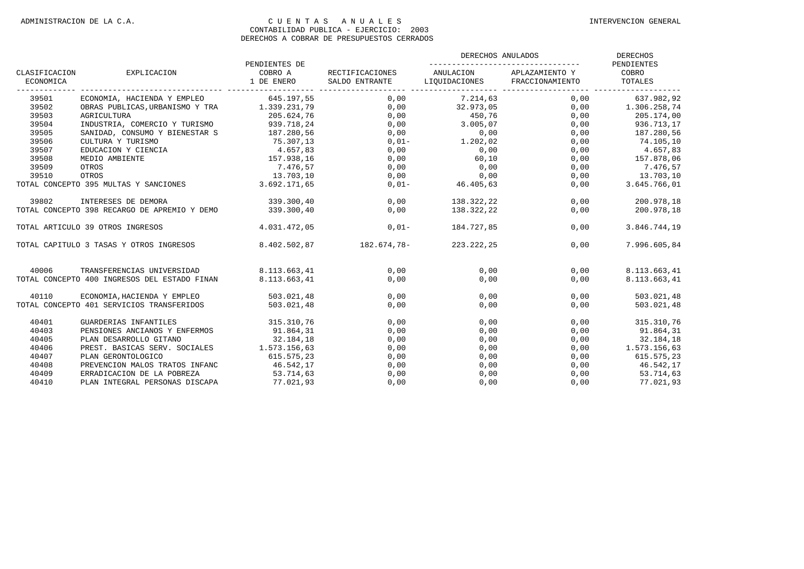|                            |                                                               |                                        |                                   | DERECHOS ANULADOS                          | DERECHOS             |                        |
|----------------------------|---------------------------------------------------------------|----------------------------------------|-----------------------------------|--------------------------------------------|----------------------|------------------------|
| CLASIFICACION<br>ECONOMICA | EXPLICACION                                                   | PENDIENTES DE<br>COBRO A<br>1 DE ENERO | RECTIFICACIONES<br>SALDO ENTRANTE | ANULACION<br>LIQUIDACIONES FRACCIONAMIENTO | APLAZAMIENTO Y COBRO | PENDIENTES<br>TOTALES  |
| 39501                      | ECONOMIA, HACIENDA Y EMPLEO 645.197,55                        |                                        | $0,00$ $7.214,63$                 |                                            |                      | 0,00 637.982,92        |
| 39502                      | OBRAS PUBLICAS, URBANISMO Y TRA $1.339.231,79$ 0,00 32.973,05 |                                        |                                   |                                            |                      | $0,00$ 1.306.258,74    |
| 39503                      | AGRICULTURA                                                   | 205.624,76                             |                                   | 0,00 450,76                                | 0,00                 | 205.174,00             |
| 39504                      | INDUSTRIA, COMERCIO Y TURISMO 939.718,24                      |                                        |                                   | $0,00$ 3.005,07                            | 0,00                 | 936.713,17             |
| 39505                      | SANIDAD, CONSUMO Y BIENESTAR S                                | 187.280,56                             |                                   |                                            | 0,00                 | 187.280,56             |
| 39506                      | CULTURA Y TURISMO                                             | 75.307,13                              | $0.01-$                           | $0,00$<br>$0,01$ -<br>$1.202,02$           | 0,00                 | 74.105,10              |
| 39507                      | EDUCACION Y CIENCIA                                           | 4.657,83                               | 0,00                              |                                            | 0,00                 |                        |
| 39508                      | MEDIO AMBIENTE                                                | 1.057,05<br>157.938,16                 | 0,00                              | $0,00$<br>60,10                            | 0,00                 | 4.657,83<br>157.878,06 |
| 39509                      | OTROS                                                         | 7.476,57                               | 0,00                              | 0,00                                       | 0,00                 | 7.476,57               |
| 39510                      | OTROS                                                         | 13.703,10                              | 0,00                              |                                            | 0,00                 | 13.703,10              |
|                            | TOTAL CONCEPTO 395 MULTAS Y SANCIONES 3.692.171,65            |                                        | $0,01-$                           | $0,00$<br>0,00<br>46.405,63                | 0,00                 | 3.645.766,01           |
| 39802                      | INTERESES DE DEMORA                                           | 339.300,40                             |                                   | $0,00$ 138.322,22                          | 0,00                 | 200.978,18             |
|                            | TOTAL CONCEPTO 398 RECARGO DE APREMIO Y DEMO                  | 339.300,40                             | 0,00                              | 138.322,22                                 | 0,00                 | 200.978,18             |
|                            | TOTAL ARTICULO 39 OTROS INGRESOS                              | 4.031.472,05                           | $0.01-$                           | 184.727.85                                 | 0.00                 | 3.846.744,19           |
|                            | TOTAL CAPITULO 3 TASAS Y OTROS INGRESOS 8.402.502,87          |                                        | 182.674,78-                       | 223.222,25                                 | 0,00                 | 7.996.605,84           |
| 40006                      | TRANSFERENCIAS UNIVERSIDAD                                    | 8.113.663.41                           | 0.00                              | 0.00                                       | 0.00                 | 8.113.663,41           |
|                            | TOTAL CONCEPTO 400 INGRESOS DEL ESTADO FINAN                  | 8.113.663,41                           | 0,00                              | 0,00                                       | 0,00                 | 8.113.663,41           |
| 40110                      | ECONOMIA, HACIENDA Y EMPLEO 503.021, 48                       |                                        | 0,00                              | 0.00                                       | 0.00                 | 503.021,48             |
|                            | TOTAL CONCEPTO 401 SERVICIOS TRANSFERIDOS                     | 503.021,48                             | 0,00                              | 0,00                                       | 0,00                 | 503.021,48             |
| 40401                      | GUARDERIAS INFANTILES                                         | 315.310,76                             | 0,00                              | 0,00                                       | 0,00                 | 315.310,76             |
| 40403                      | PENSIONES ANCIANOS Y ENFERMOS                                 | 91.864,31                              | 0,00                              | 0,00                                       | 0,00                 | 91.864,31              |
| 40405                      | PLAN DESARROLLO GITANO                                        | 32.184,18                              | 0,00                              | 0,00                                       | 0,00                 | 32.184,18              |
| 40406                      | PREST. BASICAS SERV. SOCIALES 1.573.156,63                    |                                        | 0,00                              | 0,00                                       | 0,00                 | 1.573.156,63           |
| 40407                      | PLAN GERONTOLOGICO                                            | 615.575,23                             | 0,00                              | 0,00                                       | 0,00                 | 615.575,23             |
| 40408                      | PREVENCION MALOS TRATOS INFANC                                | 46.542,17                              | 0,00                              | 0,00                                       | 0,00                 | 46.542,17              |
| 40409                      | ERRADICACION DE LA POBREZA                                    | 53.714,63<br>77.021,93                 | 0,00                              | 0,00                                       | 0,00                 | 53.714,63              |
| 40410                      | PLAN INTEGRAL PERSONAS DISCAPA                                |                                        | 0,00                              | 0,00                                       | 0,00                 | 77.021,93              |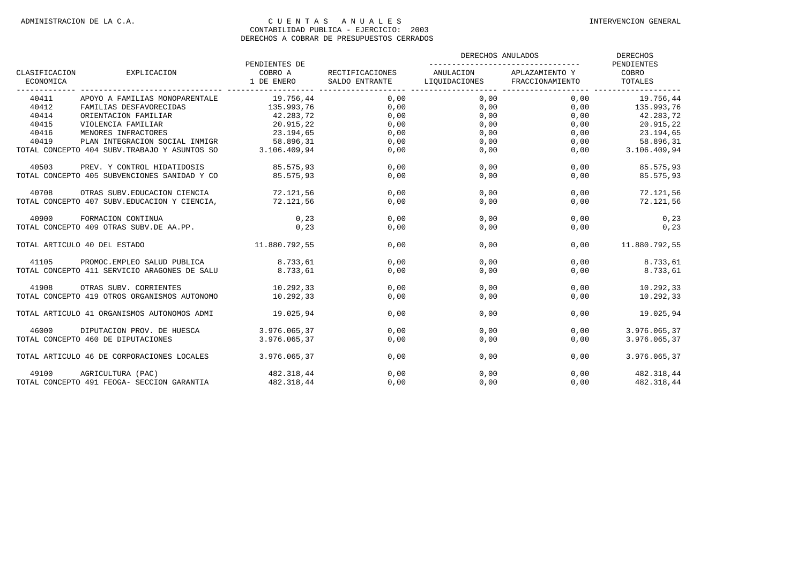|                            |                                               | PENDIENTES DE         | RECTIFICACIONES<br>SALDO ENTRANTE LIQUIDACIONES FRACCIONAMIENTO | DERECHOS ANULADOS | <b>DERECHOS</b><br>PENDIENTES |                  |
|----------------------------|-----------------------------------------------|-----------------------|-----------------------------------------------------------------|-------------------|-------------------------------|------------------|
| CLASIFICACION<br>ECONOMICA | EXPLICACION                                   | COBRO A<br>1 DE ENERO |                                                                 | ANULACION         | APLAZAMIENTO Y                | COBRO<br>TOTALES |
| 40411                      | APOYO A FAMILIAS MONOPARENTALE                | 19.756,44             | 0,00                                                            | 0,00              |                               | $0,00$ 19.756,44 |
| 40412                      | FAMILIAS DESFAVORECIDAS                       | 135.993,76            | 0,00                                                            | 0,00              | 0,00                          | 135.993,76       |
| 40414                      | ORIENTACION FAMILIAR                          | 42.283,72             | 0,00                                                            | 0,00              | 0,00                          | 42.283,72        |
| 40415                      | VIOLENCIA FAMILIAR                            | 20.915,22             | 0,00                                                            | 0,00              | 0,00                          | 20.915,22        |
| 40416                      | MENORES INFRACTORES                           | 23.194,65             | 0,00                                                            | 0,00              | 0,00                          | 23.194,65        |
| 40419                      | PLAN INTEGRACION SOCIAL INMIGR 58.896,31      |                       | 0,00                                                            | 0,00              | 0,00                          | 58.896,31        |
|                            | TOTAL CONCEPTO 404 SUBV. TRABAJO Y ASUNTOS SO | 3.106.409,94          | 0,00                                                            | 0,00              | 0,00                          | 3.106.409,94     |
| 40503                      | PREV. Y CONTROL HIDATIDOSIS                   | 85.575.93             | 0,00                                                            | 0,00              | 0,00                          | 85.575,93        |
|                            | TOTAL CONCEPTO 405 SUBVENCIONES SANIDAD Y CO  | 85.575,93             | 0,00                                                            | 0,00              | 0,00                          | 85.575,93        |
| 40708                      | OTRAS SUBV. EDUCACION CIENCIA                 | 72.121,56             | 0,00                                                            | 0,00              | 0,00                          | 72.121,56        |
|                            | TOTAL CONCEPTO 407 SUBV. EDUCACION Y CIENCIA, | 72.121.56             | 0,00                                                            | 0,00              | 0,00                          | 72.121,56        |
| 40900                      | FORMACION CONTINUA                            | 0, 23                 | 0,00                                                            | 0,00              | 0,00                          | 0,23             |
|                            | TOTAL CONCEPTO 409 OTRAS SUBV.DE AA.PP.       | 0, 23                 | 0,00                                                            | 0,00              | 0,00                          | 0,23             |
|                            | TOTAL ARTICULO 40 DEL ESTADO                  | 11.880.792.55         | 0.00                                                            | 0.00              | 0.00                          | 11.880.792,55    |
| 41105                      | PROMOC.EMPLEO SALUD PUBLICA                   | 8.733,61              | 0,00                                                            | 0,00              | 0,00                          | 8.733,61         |
|                            | TOTAL CONCEPTO 411 SERVICIO ARAGONES DE SALU  | 8.733,61              | 0,00                                                            | 0,00              | 0,00                          | 8.733,61         |
| 41908                      | OTRAS SUBV. CORRIENTES                        | 10.292.33             | 0,00                                                            | 0,00              | 0,00                          | 10.292,33        |
|                            | TOTAL CONCEPTO 419 OTROS ORGANISMOS AUTONOMO  | 10.292.33             | 0,00                                                            | 0,00              | 0.00                          | 10.292,33        |
|                            | TOTAL ARTICULO 41 ORGANISMOS AUTONOMOS ADMI   | 19.025,94             | 0,00                                                            | 0,00              | 0,00                          | 19.025,94        |
| 46000                      | DIPUTACION PROV. DE HUESCA                    | 3.976.065,37          | 0.00                                                            | 0.00              | 0,00                          | 3.976.065.37     |
|                            | TOTAL CONCEPTO 460 DE DIPUTACIONES            | 3.976.065.37          | 0,00                                                            | 0,00              | 0,00                          | 3.976.065,37     |
|                            | TOTAL ARTICULO 46 DE CORPORACIONES LOCALES    | 3.976.065,37          | 0,00                                                            | 0,00              | 0,00                          | 3.976.065,37     |
| 49100                      | AGRICULTURA (PAC)                             | 482.318,44            | 0,00                                                            | 0,00              | 0.00                          | 482.318,44       |
|                            | TOTAL CONCEPTO 491 FEOGA- SECCION GARANTIA    | 482.318.44            | 0.00                                                            | 0.00              | 0.00                          | 482.318.44       |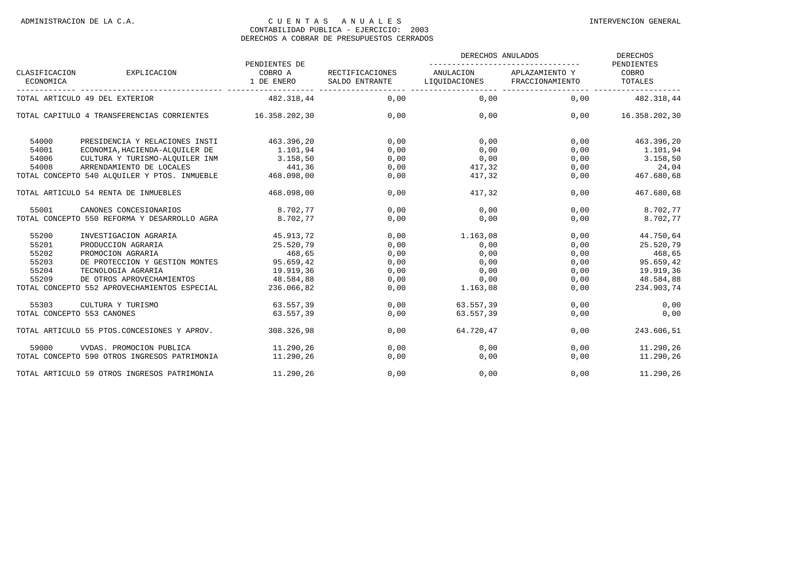|                                |                                                          |                                        |                                   | DERECHOS ANULADOS                          | <b>DERECHOS</b> |                                |  |
|--------------------------------|----------------------------------------------------------|----------------------------------------|-----------------------------------|--------------------------------------------|-----------------|--------------------------------|--|
| CLASIFICACION<br>ECONOMICA     | EXPLICACION                                              | PENDIENTES DE<br>COBRO A<br>1 DE ENERO | RECTIFICACIONES<br>SALDO ENTRANTE | ANULACION<br>LIQUIDACIONES FRACCIONAMIENTO | APLAZAMIENTO Y  | PENDIENTES<br>COBRO<br>TOTALES |  |
| TOTAL ARTICULO 49 DEL EXTERIOR |                                                          | 482.318,44                             | 0.00                              | 0.00                                       | 0.00            | 482.318.44                     |  |
|                                | TOTAL CAPITULO 4 TRANSFERENCIAS CORRIENTES 16.358.202,30 |                                        | 0.00                              | 0.00                                       | 0.00            | 16.358.202,30                  |  |
| 54000                          | PRESIDENCIA Y RELACIONES INSTI                           | 463.396,20                             | 0,00                              | 0,00                                       | 0,00            | 463.396,20                     |  |
| 54001                          | ECONOMIA, HACIENDA-ALQUILER DE                           | 1.101,94                               | 0,00                              | 0,00                                       | 0,00            | 1.101,94                       |  |
| 54006                          | CULTURA Y TURISMO-ALOUILER INM                           | 3.158, 50                              | 0,00                              | 0,00                                       | 0,00            | 3.158,50                       |  |
| 54008                          | ARRENDAMIENTO DE LOCALES                                 | 441,36                                 | 0,00                              | 417,32                                     | 0,00            | 24,04                          |  |
|                                | TOTAL CONCEPTO 540 ALOUILER Y PTOS. INMUEBLE             | 468.098,00                             | 0,00                              | 417,32                                     | 0,00            | 467.680,68                     |  |
|                                | TOTAL ARTICULO 54 RENTA DE INMUEBLES                     | 468.098,00                             | 0,00                              | 417,32                                     | 0,00            | 467.680,68                     |  |
| 55001                          | CANONES CONCESIONARIOS                                   | 8.702,77                               | 0.00                              | 0.00                                       | 0,00            | 8.702,77                       |  |
|                                | TOTAL CONCEPTO 550 REFORMA Y DESARROLLO AGRA             | 8.702,77                               | 0,00                              | 0,00                                       | 0,00            | 8.702,77                       |  |
| 55200                          | INVESTIGACION AGRARIA                                    | 45.913,72                              | 0,00                              | 1.163,08                                   | 0,00            | 44.750,64                      |  |
| 55201                          | PRODUCCION AGRARIA                                       | 25.520,79                              | 0,00                              | 0,00                                       | 0,00            | 25.520,79                      |  |
| 55202                          | PROMOCION AGRARIA                                        | 468,65                                 | 0,00                              | 0,00                                       | 0,00            | 468,65                         |  |
| 55203                          | DE PROTECCION Y GESTION MONTES                           | 95.659,42                              | 0,00                              | 0,00                                       | 0,00            | 95.659,42                      |  |
| 55204                          | TECNOLOGIA AGRARIA                                       | 19.919,36                              | 0,00                              | 0,00                                       | 0,00            | 19.919,36                      |  |
| 55209                          | DE OTROS APROVECHAMIENTOS                                | 48.584,88                              | 0,00                              | 0,00                                       | 0,00            | 48.584,88                      |  |
|                                | TOTAL CONCEPTO 552 APROVECHAMIENTOS ESPECIAL             | 236.066,82                             | 0,00                              | 1.163,08                                   | 0,00            | 234.903,74                     |  |
| 55303                          | CULTURA Y TURISMO                                        | 63.557.39                              | 0.00                              | 63.557,39                                  | 0.00            | 0,00                           |  |
|                                | TOTAL CONCEPTO 553 CANONES                               | 63.557.39                              | 0,00                              | 63.557,39                                  | 0,00            | 0,00                           |  |
|                                | TOTAL ARTICULO 55 PTOS.CONCESIONES Y APROV.              | 308.326,98                             | 0,00                              | 64.720,47                                  | 0,00            | 243.606,51                     |  |
| 59000                          | VVDAS. PROMOCION PUBLICA                                 | 11.290,26                              | 0,00                              | 0,00                                       | 0,00            | 11.290,26                      |  |
|                                | TOTAL CONCEPTO 590 OTROS INGRESOS PATRIMONIA             | 11.290.26                              | 0,00                              | 0,00                                       | 0,00            | 11.290,26                      |  |
|                                | TOTAL ARTICULO 59 OTROS INGRESOS PATRIMONIA              | 11.290.26                              | 0.00                              | 0,00                                       | 0,00            | 11.290,26                      |  |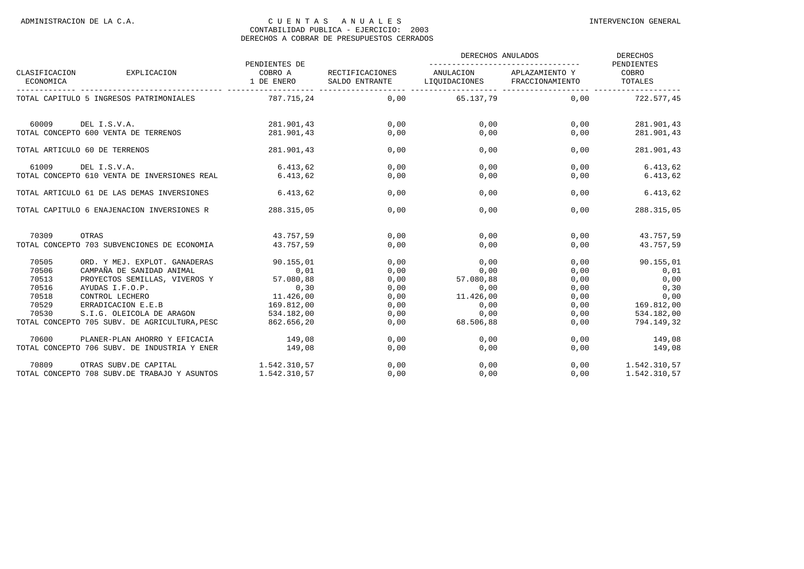|                            |                                               | PENDIENTES DE         | RECTIFICACIONES<br>SALDO ENTRANTE | DERECHOS ANULADOS                          | <b>DERECHOS</b><br>PENDIENTES |                  |
|----------------------------|-----------------------------------------------|-----------------------|-----------------------------------|--------------------------------------------|-------------------------------|------------------|
| CLASIFICACION<br>ECONOMICA | EXPLICACION                                   | COBRO A<br>1 DE ENERO |                                   | ANULACION<br>LIQUIDACIONES FRACCIONAMIENTO | APLAZAMIENTO Y                | COBRO<br>TOTALES |
|                            | TOTAL CAPITULO 5 INGRESOS PATRIMONIALES       | 787.715,24            |                                   | 0,00 65.137,79                             | 0.00                          | 722.577.45       |
| 60009                      | DEL I.S.V.A.                                  | 281.901.43            | 0.00                              | 0.00                                       | 0.00                          | 281.901,43       |
|                            | TOTAL CONCEPTO 600 VENTA DE TERRENOS          | 281.901.43            | 0,00                              | 0,00                                       | 0,00                          | 281.901,43       |
|                            | TOTAL ARTICULO 60 DE TERRENOS                 | 281.901.43            | 0,00                              | 0.00                                       | 0.00                          | 281.901,43       |
| 61009                      | DEL I.S.V.A.                                  | 6.413,62              | 0,00                              | 0,00                                       | 0,00                          | 6.413,62         |
|                            | TOTAL CONCEPTO 610 VENTA DE INVERSIONES REAL  | 6.413.62              | 0,00                              | 0.00                                       | 0.00                          | 6.413, 62        |
|                            | TOTAL ARTICULO 61 DE LAS DEMAS INVERSIONES    | 6.413.62              | 0,00                              | 0.00                                       | 0.00                          | 6.413, 62        |
|                            | TOTAL CAPITULO 6 ENAJENACION INVERSIONES R    | 288.315,05            | 0,00                              | 0.00                                       | 0.00                          | 288.315,05       |
| 70309                      | OTRAS                                         | 43.757.59             | 0,00                              | 0,00                                       | 0,00                          | 43.757,59        |
|                            | TOTAL CONCEPTO 703 SUBVENCIONES DE ECONOMIA   | 43.757.59             | 0,00                              | 0.00                                       | 0,00                          | 43.757.59        |
| 70505                      | ORD. Y MEJ. EXPLOT. GANADERAS                 | 90.155,01             | 0,00                              | 0.00                                       | 0,00                          | 90.155,01        |
| 70506                      | CAMPAÑA DE SANIDAD ANIMAL                     | 0,01                  | 0,00                              | 0,00                                       | 0,00                          | 0,01             |
| 70513                      | PROYECTOS SEMILLAS, VIVEROS Y                 | 0,01<br>57.080,88     | 0,00                              | 57.080,88                                  | 0,00                          | 0,00             |
| 70516                      | AYUDAS I.F.O.P.                               | 0, 30                 | 0,00                              | 0,00                                       | 0,00                          | 0, 30            |
| 70518                      | CONTROL LECHERO                               | 11,426,00             | 0,00                              | 11.426,00                                  | 0,00                          | 0,00             |
| 70529                      | ERRADICACION E.E.B                            | 169.812,00            | 0,00                              | 0,00                                       | 0,00                          | 169.812,00       |
| 70530                      | S.I.G. OLEICOLA DE ARAGON                     | 534.182,00            | 0,00                              | 0,00                                       | 0,00                          | 534.182,00       |
|                            | TOTAL CONCEPTO 705 SUBV. DE AGRICULTURA, PESC | 862.656,20            | 0,00                              | 68.506,88                                  | 0,00                          | 794.149,32       |
| 70600                      | PLANER-PLAN AHORRO Y EFICACIA                 | 149,08                | 0,00                              | 0,00                                       | 0,00                          | 149,08           |
|                            | TOTAL CONCEPTO 706 SUBV. DE INDUSTRIA Y ENER  | 149,08                | 0,00                              | 0,00                                       | 0,00                          | 149,08           |
| 70809                      | OTRAS SUBV.DE CAPITAL                         | 1.542.310,57          | 0.00                              | 0.00                                       | 0.00                          | 1.542.310,57     |
|                            | TOTAL CONCEPTO 708 SUBV. DE TRABAJO Y ASUNTOS | 1.542.310,57          | 0,00                              | 0,00                                       | 0,00                          | 1.542.310,57     |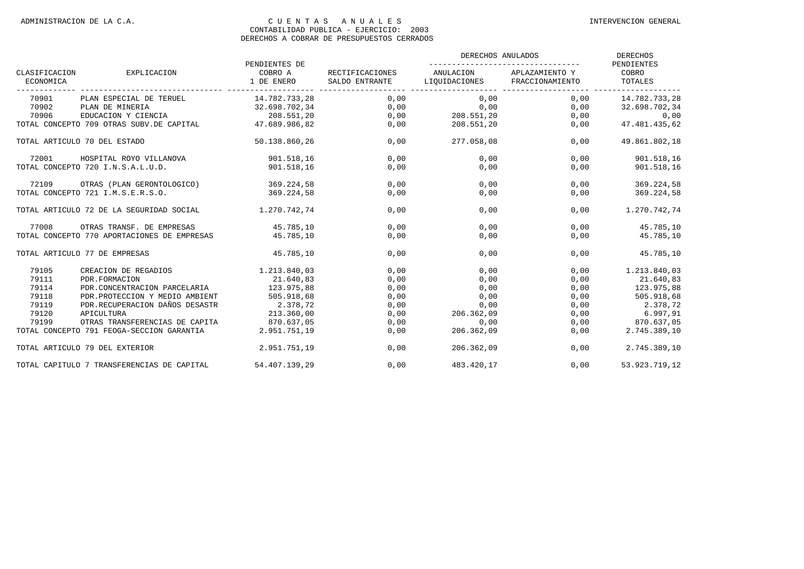|                            |                                             |                                        | RECTIFICACIONES<br>SALDO ENTRANTE | DERECHOS ANULADOS          | <b>DERECHOS</b><br>PENDIENTES     |                                    |
|----------------------------|---------------------------------------------|----------------------------------------|-----------------------------------|----------------------------|-----------------------------------|------------------------------------|
| CLASIFICACION<br>ECONOMICA | EXPLICACION                                 | PENDIENTES DE<br>COBRO A<br>1 DE ENERO |                                   | ANULACION<br>LIQUIDACIONES | APLAZAMIENTO Y<br>FRACCIONAMIENTO | COBRO<br>TOTALES<br>-------------- |
| 70901                      | PLAN ESPECIAL DE TERUEL                     | 14.782.733,28                          | 0,00                              | 0,00                       | 0,00                              | 14.782.733,28                      |
| 70902                      | PLAN DE MINERIA                             | 32.698.702,34                          | 0,00                              | 0,00                       | 0,00                              | 32.698.702,34                      |
| 70906                      | EDUCACION Y CIENCIA                         | 208.551,20                             | 0,00                              | 208.551,20                 | 0,00                              | 0,00                               |
|                            | TOTAL CONCEPTO 709 OTRAS SUBV.DE CAPITAL    | 47.689.986,82                          | 0,00                              | 208.551,20                 | 0,00                              | 47.481.435,62                      |
|                            | TOTAL ARTICULO 70 DEL ESTADO                | 50.138.860,26                          | 0,00                              | 277.058,08                 | 0,00                              | 49.861.802,18                      |
| 72001                      | HOSPITAL ROYO VILLANOVA                     | 901.518,16                             | 0,00                              | 0,00                       | 0,00                              | 901.518,16                         |
|                            | TOTAL CONCEPTO 720 I.N.S.A.L.U.D.           | 901.518,16                             | 0,00                              | 0,00                       | 0,00                              | 901.518,16                         |
| 72109                      | OTRAS (PLAN GERONTOLOGICO)                  | 369.224,58                             | 0,00                              | 0,00                       | 0,00                              | 369.224,58                         |
|                            | TOTAL CONCEPTO 721 I.M.S.E.R.S.O.           | 369.224,58                             | 0,00                              | 0,00                       | 0,00                              | 369.224,58                         |
|                            | TOTAL ARTICULO 72 DE LA SEGURIDAD SOCIAL    | 1,270,742,74                           | 0,00                              | 0,00                       | 0,00                              | 1.270.742,74                       |
| 77008                      | OTRAS TRANSF. DE EMPRESAS                   | 45.785.10                              | 0.00                              | 0,00                       | 0,00                              | 45.785,10                          |
|                            | TOTAL CONCEPTO 770 APORTACIONES DE EMPRESAS | 45.785,10                              | 0,00                              | 0,00                       | 0,00                              | 45.785,10                          |
|                            | TOTAL ARTICULO 77 DE EMPRESAS               | 45.785,10                              | 0,00                              | 0,00                       | 0,00                              | 45.785,10                          |
| 79105                      | CREACION DE REGADIOS                        | 1.213.840,03                           | 0,00                              | 0,00                       | 0,00                              | 1.213.840,03                       |
| 79111                      | PDR.FORMACION                               | 21.640,83                              | 0,00                              | 0,00                       | 0,00                              | 21.640,83                          |
| 79114                      | PDR.CONCENTRACION PARCELARIA                | 123.975,88                             | 0,00                              | 0,00                       | 0,00                              | 123.975,88                         |
| 79118                      | PDR.PROTECCION Y MEDIO AMBIENT              | 505.918,68                             | 0,00                              | 0,00                       | 0,00                              | 505.918,68                         |
| 79119                      | PDR.RECUPERACION DAÑOS DESASTR              | 2.378,72                               | 0,00                              | 0,00                       | 0,00                              | 2.378,72                           |
| 79120                      | APICULTURA                                  | 213.360,00                             | 0,00                              | 206.362,09                 | 0,00                              | 6.997,91                           |
| 79199                      | OTRAS TRANSFERENCIAS DE CAPITA              | 870.637,05                             | 0,00                              | 0,00                       | 0,00                              | 870.637,05                         |
|                            | TOTAL CONCEPTO 791 FEOGA-SECCION GARANTIA   | 2.951.751,19                           | 0,00                              | 206.362,09                 | 0,00                              | 2.745.389,10                       |
|                            | TOTAL ARTICULO 79 DEL EXTERIOR              | 2.951.751,19                           | 0,00                              | 206.362,09                 | 0,00                              | 2.745.389,10                       |
|                            | TOTAL CAPITULO 7 TRANSFERENCIAS DE CAPITAL  | 54.407.139.29                          | 0.00                              | 483.420.17                 | 0.00                              | 53.923.719.12                      |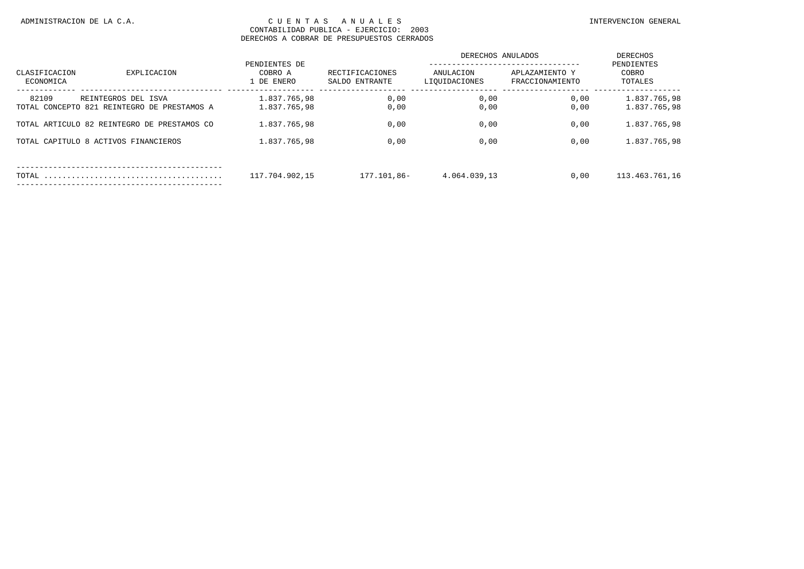|                            |                                             | PENDIENTES DE<br>COBRO A<br>1 DE ENERO |                                   | DERECHOS ANULADOS          |                                   | DERECHOS                       |
|----------------------------|---------------------------------------------|----------------------------------------|-----------------------------------|----------------------------|-----------------------------------|--------------------------------|
| CLASIFICACION<br>ECONOMICA | EXPLICACION                                 |                                        | RECTIFICACIONES<br>SALDO ENTRANTE | ANULACION<br>LIQUIDACIONES | APLAZAMIENTO Y<br>FRACCIONAMIENTO | PENDIENTES<br>COBRO<br>TOTALES |
| 82109                      | REINTEGROS DEL ISVA                         | 1.837.765.98                           | 0,00                              | 0,00                       | 0,00                              | 1.837.765.98                   |
|                            | TOTAL CONCEPTO 821 REINTEGRO DE PRESTAMOS A | 1.837.765,98                           | 0,00                              | 0,00                       | 0,00                              | 1.837.765,98                   |
|                            | TOTAL ARTICULO 82 REINTEGRO DE PRESTAMOS CO | 1.837.765.98                           | 0,00                              | 0,00                       | 0,00                              | 1.837.765.98                   |
|                            | TOTAL CAPITULO 8 ACTIVOS FINANCIEROS        | 1.837.765,98                           | 0,00                              | 0,00                       | 0,00                              | 1.837.765.98                   |
|                            |                                             |                                        |                                   |                            |                                   |                                |
| TOTAL                      |                                             | 117.704.902,15                         | 177.101,86-                       | 4.064.039,13               | 0,00                              | 113.463.761,16                 |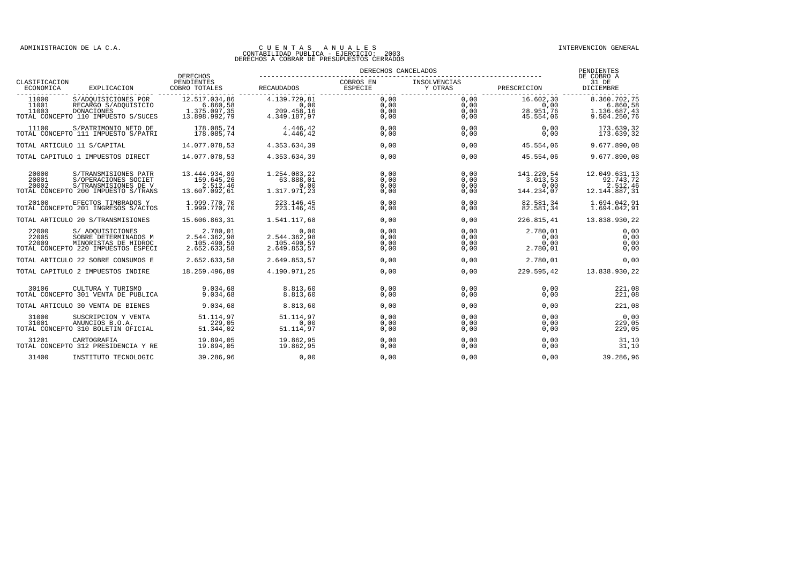|                            |                                                                                                             | <b>DERECHOS</b>                                            |                                                    | DERECHOS CANCELADOS          |                              |                                              | PENDIENTES<br>DE COBRO A                                 |
|----------------------------|-------------------------------------------------------------------------------------------------------------|------------------------------------------------------------|----------------------------------------------------|------------------------------|------------------------------|----------------------------------------------|----------------------------------------------------------|
| CLASIFICACION<br>ECONOMICA | EXPLICACION                                                                                                 | PENDIENTES<br>COBRO TOTALES                                | <b>RECAUDADOS</b>                                  | COBROS EN<br>ESPECIE         | INSOLVENCIAS<br>Y OTRAS      | PRESCRICION                                  | 31 DE<br>DICIEMBRE                                       |
| 11000<br>11001<br>11003    | S/ADQUISICIONES POR<br>RECARGO S/ADOUISICIO<br>DONACIONES<br>TOTAL CONCEPTO 110 IMPUESTO S/SUCES            | 12.517.034,86<br>6.860,58<br>1.375.097,35<br>13.898.992.79 | 4.139.729,81<br>0,00<br>209.458,16<br>4.349.187,97 | 0,00<br>0,00<br>0,00<br>0,00 | 0,00<br>0,00<br>0,00<br>0,00 | 16.602,30<br>0,00<br>28.951,76<br>45.554,06  | 8.360.702,75<br>6.860,58<br>1.136.687,43<br>9.504.250,76 |
| 11100                      | S/PATRIMONIO NETO DE<br>TOTAL CONCEPTO 111 IMPUESTO S/PATRI                                                 | 178.085,74<br>178.085,74                                   | 4.446.42<br>4.446,42                               | 0.00<br>0,00                 | 0.00<br>0,00                 | 0.00<br>0,00                                 | 173.639,32<br>173.639,32                                 |
|                            | TOTAL ARTICULO 11 S/CAPITAL                                                                                 | 14.077.078.53                                              | 4.353.634.39                                       | 0,00                         | 0,00                         | 45.554.06                                    | 9.677.890,08                                             |
|                            | TOTAL CAPITULO 1 IMPUESTOS DIRECT                                                                           | 14.077.078.53                                              | 4.353.634.39                                       | 0,00                         | 0,00                         | 45.554.06                                    | 9.677.890.08                                             |
| 20000<br>20001<br>20002    | S/TRANSMISIONES PATR<br>S/OPERACIONES SOCIET<br>S/TRANSMISIONES DE V<br>TOTAL CONCEPTO 200 IMPUESTO S/TRANS | 13.444.934,89<br>159.645,26<br>2.512,46<br>13.607.092,61   | 1.254.083,22<br>63.888,01<br>0.00<br>1.317.971,23  | 0.00<br>0,00<br>0.00<br>0,00 | 0.00<br>0,00<br>0,00<br>0,00 | 141.220,54<br>3.013,53<br>0.00<br>144.234,07 | 12.049.631,13<br>92.743,72<br>2.512,46<br>12.144.887,31  |
| 20100                      | EFECTOS TIMBRADOS Y<br>TOTAL CONCEPTO 201 INGRESOS S/ACTOS                                                  | 1.999.770,70<br>1.999.770.70                               | 223.146,45<br>223.146,45                           | 0,00<br>0,00                 | 0,00<br>0,00                 | 82.581,34<br>82.581,34                       | 1.694.042,91<br>1.694.042,91                             |
|                            | TOTAL ARTICULO 20 S/TRANSMISIONES                                                                           | 15.606.863,31                                              | 1.541.117,68                                       | 0,00                         | 0,00                         | 226.815.41                                   | 13.838.930,22                                            |
| 22000<br>22005<br>22009    | S/ ADOUISICIONES<br>SOBRE DETERMINADOS M<br>MINORISTAS DE HIDROC<br>TOTAL CONCEPTO 220 IMPUESTOS ESPECI     | 2.780,01<br>2.544.362,98<br>105.490,59<br>2.652.633,58     | 0,00<br>2.544.362,98<br>105.490,59<br>2.649.853,57 | 0.00<br>0.00<br>0,00<br>0,00 | 0,00<br>0,00<br>0,00<br>0,00 | 2.780,01<br>0.00<br>0,00<br>2.780,01         | 0,00<br>0,00<br>0,00<br>0,00                             |
|                            | TOTAL ARTICULO 22 SOBRE CONSUMOS E                                                                          | 2.652.633,58                                               | 2.649.853,57                                       | 0,00                         | 0,00                         | 2.780,01                                     | 0,00                                                     |
|                            | TOTAL CAPITULO 2 IMPUESTOS INDIRE                                                                           | 18.259.496.89                                              | 4.190.971,25                                       | 0,00                         | 0,00                         | 229.595,42                                   | 13.838.930,22                                            |
| 30106                      | CULTURA Y TURISMO<br>TOTAL CONCEPTO 301 VENTA DE PUBLICA                                                    | 9.034,68<br>9.034.68                                       | 8.813.60<br>8.813.60                               | 0,00<br>0,00                 | 0,00<br>0,00                 | 0.00<br>0.00                                 | 221,08<br>221,08                                         |
|                            | TOTAL ARTICULO 30 VENTA DE BIENES                                                                           | 9.034,68                                                   | 8.813,60                                           | 0,00                         | 0,00                         | 0,00                                         | 221,08                                                   |
| 31000<br>31001             | SUSCRIPCION Y VENTA<br>ANUNCIOS B.O.A.<br>TOTAL CONCEPTO 310 BOLETIN OFICIAL                                | 51.114.97<br>229,05<br>51.344,02                           | 51.114.97<br>0.00<br>51.114,97                     | 0.00<br>0.00<br>0,00         | 0,00<br>0.00<br>0,00         | 0.00<br>0.00<br>0,00                         | 0,00<br>229.05<br>229,05                                 |
| 31201                      | CARTOGRAFIA<br>TOTAL CONCEPTO 312 PRESIDENCIA Y RE                                                          | 19.894,05<br>19.894,05                                     | 19.862,95<br>19.862,95                             | 0,00<br>0,00                 | 0,00<br>0,00                 | 0,00<br>0,00                                 | 31,10<br>31,10                                           |
| 31400                      | INSTITUTO TECNOLOGIC                                                                                        | 39.286,96                                                  | 0,00                                               | 0.00                         | 0,00                         | 0.00                                         | 39.286,96                                                |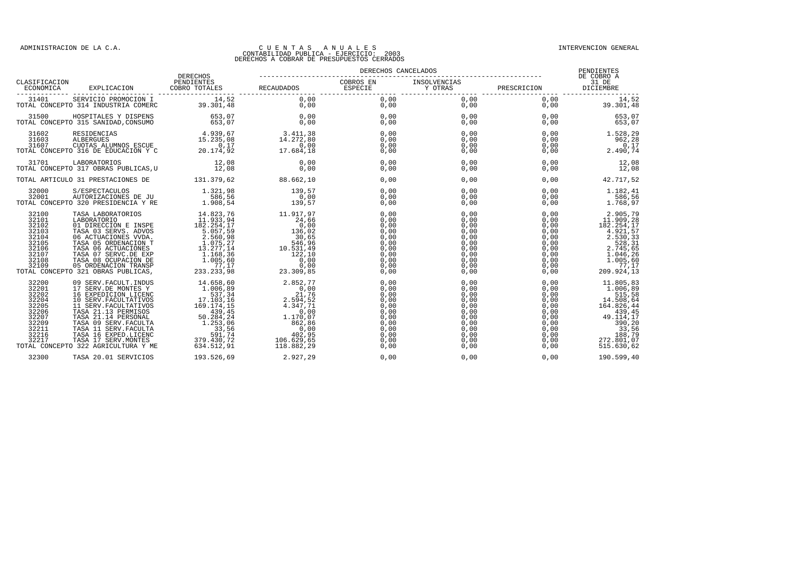|                                                                                                 |                                                                                                                                                                                                                                              |            | $\begin{tabular}{c c c c c} \hline \texttt{CLASIFICATION} & \texttt{DERRECHOS} & \texttt{DERRECHOS} & \texttt{DERECHOS} & \texttt{DERECHOS} & \texttt{DENECEIADOS} & \texttt{DENECEIADOS} & \texttt{DENECEIADOS} & \texttt{DENECEIADOS} & \texttt{DENECEIADOS} & \texttt{DENECEIADOS} & \texttt{DENECEIADOS} & \texttt{DENECEIADOS} & \texttt{DENECEIADOS} & \texttt{DIENENTES} & \texttt{DIENENTES} & \texttt{DIENENTES} & \texttt{DIENE$ |                      |                                                                                                                                                                                                                                                                                                                                                     |                                                                                                                                                                                                                                                                                                                                         |                   |
|-------------------------------------------------------------------------------------------------|----------------------------------------------------------------------------------------------------------------------------------------------------------------------------------------------------------------------------------------------|------------|--------------------------------------------------------------------------------------------------------------------------------------------------------------------------------------------------------------------------------------------------------------------------------------------------------------------------------------------------------------------------------------------------------------------------------------------|----------------------|-----------------------------------------------------------------------------------------------------------------------------------------------------------------------------------------------------------------------------------------------------------------------------------------------------------------------------------------------------|-----------------------------------------------------------------------------------------------------------------------------------------------------------------------------------------------------------------------------------------------------------------------------------------------------------------------------------------|-------------------|
|                                                                                                 |                                                                                                                                                                                                                                              |            |                                                                                                                                                                                                                                                                                                                                                                                                                                            |                      |                                                                                                                                                                                                                                                                                                                                                     |                                                                                                                                                                                                                                                                                                                                         |                   |
|                                                                                                 |                                                                                                                                                                                                                                              |            |                                                                                                                                                                                                                                                                                                                                                                                                                                            |                      |                                                                                                                                                                                                                                                                                                                                                     |                                                                                                                                                                                                                                                                                                                                         |                   |
|                                                                                                 | $\begin{array}{cccccc} 31500 & & \text{HOSPITALES} & \text{DISPENS} & & 653,07 & & 0,00 \\ \text{TOTAL CONCEPTO} & 315 & \text{SANIDAD}, \text{CONSUMO} & & 653,07 & & 0,00 \\ \end{array}$                                                  |            |                                                                                                                                                                                                                                                                                                                                                                                                                                            |                      | $\begin{array}{cccccccc} 0\,,\,0\,0 &&& 0\,,\,0\,0 &&& 0\,,\,0\,0 &&& 0\,,\,0\,0 &&& 0\,,\,0\,0 &&& 0\,,\,0\,0 &&& 0\,,\,0\,0 &&& 0\,,\,0\,0 &&& 0\,,\,0\,0 &&& 0\,,\,0\,0 &&& 0\,,\,0\,0 &&& 0\,,\,0\,0 &&& 0\,,\,0\,0 &&& 0\,,\,0\,0 &&& 0\,,\,0\,0 &&& 0\,,\,0\,0 &&& 0\,,\,0\,0 &&& 0\,,\,0\$                                                   |                                                                                                                                                                                                                                                                                                                                         |                   |
|                                                                                                 | $\begin{tabular}{cccc} 31602 & RESIDENCES & 4.939,67 & 3.411,38 \\ 31603 & ALBERGUES & 15.235,08 & 14.272,80 \\ 31607 & CLOCTAS ALUMNOS ESCUE & 0,17 & 0,00 \\ TOTAL CONCEPTO 316 DE EDUCACION Y C & 20.174,92 & 17.684,18 \\ \end{tabular}$ |            |                                                                                                                                                                                                                                                                                                                                                                                                                                            |                      | $\begin{array}{cccccccc} 0\,, 0\,0 && 0\,, 0\,0 && 0\,, 0\,0 && 0\,, 0\,0 && 0\,, 0\,0 && 0\,, 0\,0 && 0\,, 0\,0 && 0\,, 0\,0 && 0\,, 0\,0 && 0\,, 0\,0 && 0\,, 0\,0 && 0\,, 0\,0 && 0\,, 0\,0 && 0\,, 0\,0 && 0\,, 0\,0 && 0\,, 0\,0 && 0\,, 0\,0 && 0\,, 0\,0 && 0\,, 0\,0 && 0\,, 0\,0 && 0\,, 0\,0 && 0$                                        |                                                                                                                                                                                                                                                                                                                                         |                   |
|                                                                                                 |                                                                                                                                                                                                                                              |            | $0,00$<br>0,00                                                                                                                                                                                                                                                                                                                                                                                                                             | 0,00<br>0,00         |                                                                                                                                                                                                                                                                                                                                                     | $\begin{array}{cccc} 0 \, , \, 0 \, 0 \\ 0 \, , \, 0 \, 0 \\ 0 \, , \, 0 \, 0 \\ \end{array} \hspace{1.5cm} \begin{array}{cccc} 0 \, , \, 0 \, 0 \\ 0 \, , \, 0 \, 0 \\ 1 \, 2 \, , \, 0 \, 8 \\ \end{array} \hspace{1.5cm} \begin{array}{cccc} 1 \, 2 \, , \, 0 \, 8 \\ 1 \, 2 \, , \, 0 \, 8 \\ 1 \, 2 \, , \, 0 \, 8 \\ \end{array}$ |                   |
|                                                                                                 | TOTAL ARTICULO 31 PRESTACIONES DE $131.379.62$ 88.662,10                                                                                                                                                                                     |            |                                                                                                                                                                                                                                                                                                                                                                                                                                            | 0,00                 | 0,00                                                                                                                                                                                                                                                                                                                                                |                                                                                                                                                                                                                                                                                                                                         | 0,00<br>42.717,52 |
| 32000<br>32001                                                                                  | TOTAL CONCEPTO 320 PRESIDENCIA Y RE                                                                                                                                                                                                          |            | $\begin{array}{c} 139,57 \\ 0,00 \\ 139,57 \end{array}$                                                                                                                                                                                                                                                                                                                                                                                    | 0.00<br>0.00<br>0,00 |                                                                                                                                                                                                                                                                                                                                                     | $\begin{array}{cccc} 0 \, , \, 00 \, & 0.00 \, & 1 \, .182 \, , \, 41 \, \\ 0 \, , \, 00 \, & 0 \, , \, 00 \, & 0 \, , \, 00 \, & 1 \, .768 \, , \, 97 \, \end{array}$                                                                                                                                                                  |                   |
| 32100<br>32101<br>32102<br>32103<br>32104<br>32105<br>32106<br>32107<br>32108<br>32109          | TOTAL CONCEPTO 321 OBRAS PUBLICAS,                                                                                                                                                                                                           |            |                                                                                                                                                                                                                                                                                                                                                                                                                                            |                      |                                                                                                                                                                                                                                                                                                                                                     |                                                                                                                                                                                                                                                                                                                                         |                   |
| 32200<br>32201<br>32202<br>32204<br>32205<br>32206<br>32207<br>32209<br>32211<br>32216<br>32217 | TOTAL CONCEPTO 322 AGRICULTURA Y ME                                                                                                                                                                                                          |            |                                                                                                                                                                                                                                                                                                                                                                                                                                            |                      | $\begin{array}{cccccccc} 2.852,77 & & & & & & & 0\,00 & & & & & & 0\,00 & & & & & & 0\,00 & & & & & & 0\,00 & & & & & & 0\,000 & & & & & & & 0\,000 & & & & & & 0\,000 & & & & & & & 0\,000 & & & & & & & 0\,000 & & & & & & & 0\,000 & & & & & & & 0\,000 & & & & & & & 0\,000 & & & & & & & 0\,000 & & & & & & & 0\,000 & & & & & & & 0\,000 & &$ |                                                                                                                                                                                                                                                                                                                                         |                   |
| 32300                                                                                           | TASA 20.01 SERVICIOS                                                                                                                                                                                                                         | 193.526,69 | 2.927,29                                                                                                                                                                                                                                                                                                                                                                                                                                   | 0,00                 | 0.00                                                                                                                                                                                                                                                                                                                                                | 0,00                                                                                                                                                                                                                                                                                                                                    | 190.599,40        |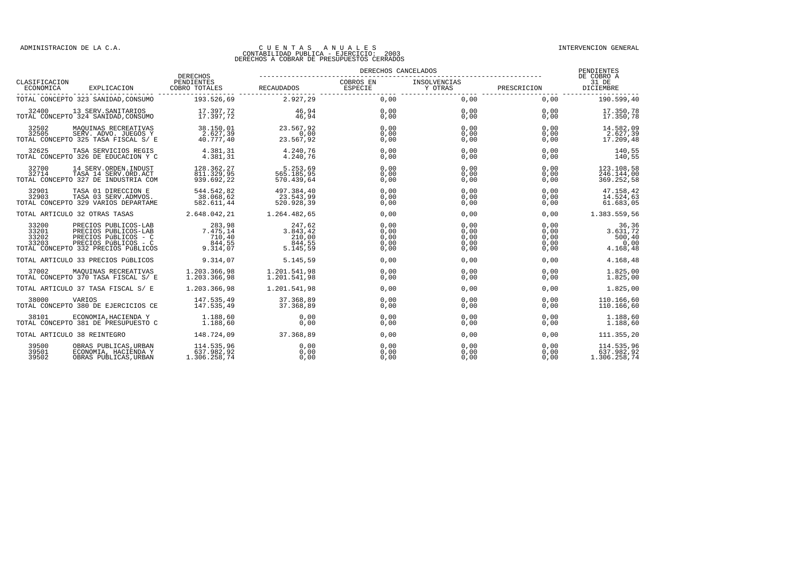|                                  |                                                                                                                                     |                                                                          | DERECHOS CANCELADOS                                   |                                      |                                      |                                      | PENDIENTES<br>DE COBRO A                        |  |
|----------------------------------|-------------------------------------------------------------------------------------------------------------------------------------|--------------------------------------------------------------------------|-------------------------------------------------------|--------------------------------------|--------------------------------------|--------------------------------------|-------------------------------------------------|--|
| CLASIFICACION                    |                                                                                                                                     |                                                                          |                                                       |                                      |                                      |                                      |                                                 |  |
|                                  | TOTAL CONCEPTO 323 SANIDAD, CONSUMO                                                                                                 | 193.526.69                                                               | 2.927.29                                              | 0,00                                 | 0.00                                 | 0.00                                 | 190.599.40                                      |  |
| 32400                            | 13 SERV. SANITARIOS<br>TOTAL CONCEPTO 324 SANIDAD, CONSUMO                                                                          | 17.397,72<br>17.397.72                                                   | $\frac{46}{46}$ , 94<br>46,94                         | 0,00<br>0,00                         |                                      | 0,00<br>0,00                         | 17.350,78<br>17.350,78                          |  |
| 32502<br>32505                   | MAQUINAS RECREATIVAS<br>SERV. ADVO. JUEGOS Y<br>TOTAL CONCEPTO 325 TASA FISCAL S/ E                                                 | 38.150,01<br>2.627.39<br>40.777.40                                       | 23.567,92<br>0,00<br>23.567,92                        | 0,00<br>0,00<br>0,00                 | 0,00<br>0.00<br>0,00                 | 0,00<br>0.00<br>0.00                 | 14.582,09<br>2.627,39<br>17.209,48              |  |
| 32625                            | TASA SERVICIOS REGIS<br>TOTAL CONCEPTO 326 DE EDUCACION Y C                                                                         | 4.381,31<br>4.381.31                                                     | 4.240,76<br>4.240.76                                  | 0,00<br>0,00                         | 0,00<br>0,00                         | 0,00<br>0,00                         | 140,55<br>140,55                                |  |
| 32700<br>32714                   | 14 SERV. ORDEN. INDUST<br>TASA 14 SERV.ORD.ACT<br>TOTAL CONCEPTO 327 DE INDUSTRIA COM                                               | 128.362,27<br>811.329,95<br>939.692.22                                   | 5.253,69<br>565.185,95<br>570.439.64                  | 0,00<br>0,00<br>0,00                 | 0,00<br>0,00<br>0,00                 | 0.00<br>0.00<br>0,00                 | 123.108,58<br>246.144,00<br>369.252,58          |  |
| 32901<br>32903                   | TASA 01 DIRECCION E<br>TASA 03 SERV. ADMVOS.<br>TOTAL CONCEPTO 329 VARIOS DEPARTAME                                                 | 544.542,82<br>38.068,62<br>582.611,44                                    | 497.384,40<br>$23.543,99$<br>520.920                  | 0,00<br>0,00<br>0,00                 | 0,00<br>0.00<br>0,00                 | 0,00<br>0.00<br>0,00                 | 47.158,42<br>14.524,63<br>61.683,05             |  |
|                                  | TOTAL ARTICULO 32 OTRAS TASAS 2.648.042,21                                                                                          |                                                                          | 1.264.482,65                                          | 0,00                                 | 0,00                                 | 0,00                                 | 1.383.559,56                                    |  |
| 33200<br>33201<br>33202<br>33203 | PRECIOS PUBLICOS-LAB<br>PRECIOS PUBLICOS-LAB<br>PRECIOS PÚBLICOS - C<br>PRECIOS PÚBLICOS - C<br>TOTAL CONCEPTO 332 PRECIOS PÚBLICOS | $7.475,14$<br>$7.475,14$<br>$\frac{710}{844}, \frac{40}{55}$<br>9.314,07 | $247,62$<br>3.843,42<br>210,000<br>844,55<br>5.145,59 | 0,00<br>0,00<br>0,00<br>0,00<br>0.00 | 0,00<br>0,00<br>0,00<br>0,00<br>0,00 | 0,00<br>0,00<br>0.00<br>0,00<br>0,00 | 36,36<br>3.631,72<br>500,40<br>0,00<br>4.168,48 |  |
|                                  | TOTAL ARTICULO 33 PRECIOS PÚBLICOS                                                                                                  | 9.314,07                                                                 | 5.145.59                                              | 0.00                                 | 0,00                                 | 0.00                                 | 4.168,48                                        |  |
| 37002                            | MAQUINAS RECREATIVAS<br>TOTAL CONCEPTO 370 TASA FISCAL S/ E                                                                         | 1,203,366,98<br>1.203.366,98                                             | 1.201.541,98<br>1.201.541,98                          | 0,00<br>0,00                         | 0,00<br>0,00                         | 0.00<br>0,00                         | 1.825,00<br>1.825,00                            |  |
|                                  | TOTAL ARTICULO 37 TASA FISCAL S/ E                                                                                                  | 1.203.366.98                                                             | 1.201.541.98                                          | 0,00                                 | 0,00                                 | 0,00                                 | 1.825,00                                        |  |
| 38000                            | VARIOS<br>TOTAL CONCEPTO 380 DE EJERCICIOS CE                                                                                       | 147.535,49<br>147.535,49                                                 | 37.368,89<br>37.368,89                                | 0,00<br>0,00                         | 0,00<br>0,00                         | 0,00<br>0.00                         | 110.166,60<br>110.166,60                        |  |
| 38101                            | ECONOMIA, HACIENDA Y<br>TOTAL CONCEPTO 381 DE PRESUPUESTO C                                                                         | 1.188,60<br>1.188,60                                                     | 0,00<br>0.00                                          | 0,00<br>0.00                         | 0,00<br>0.00                         | 0.00<br>0.00                         | 1.188,60<br>1.188.60                            |  |
|                                  | TOTAL ARTICULO 38 REINTEGRO 148.724,09                                                                                              |                                                                          | 37.368,89                                             | 0,00                                 | 0,00                                 | 0,00                                 | 111.355,20                                      |  |
| 39500<br>39501<br>39502          | OBRAS PUBLICAS, URBAN<br>ECONOMIA, HACIENDA Y<br>OBRAS PUBLICAS, URBAN                                                              | 114.535,96<br>637.982,92<br>1.306.258,74                                 | 0.00<br>0,00<br>0,00                                  | 0.00<br>0,00<br>0,00                 | 0.00<br>0,00<br>0,00                 | 0.00<br>0.00<br>0,00                 | 114.535.96<br>637.982,92<br>1.306.258,74        |  |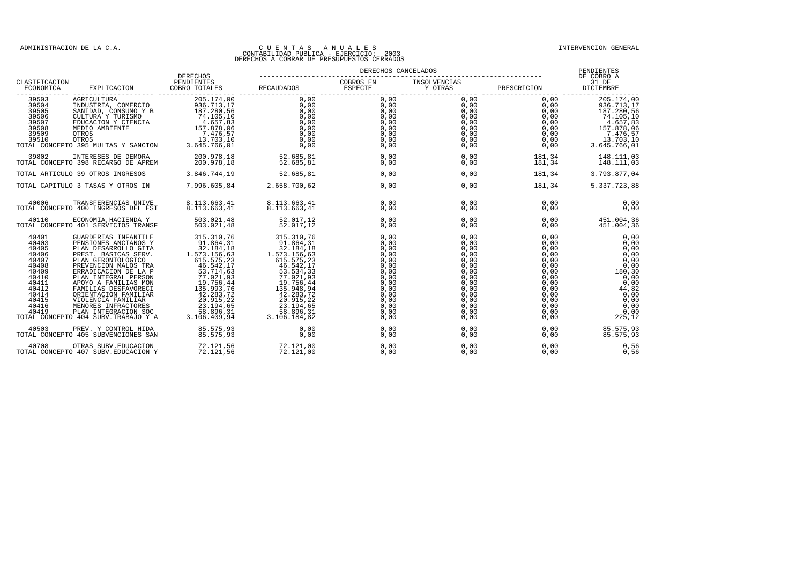|                                                                                                                            |                                                                                                                                                                                                                                                                                                                                                                                             | DERECHOS                                                                                                                                                                                                                   |                                                                                                                                                                                                                                                                                                                                | PENDIENTES<br>DE COBRO A             |                                                                                                                                               |                                                                                                                                                                                                           |                                                                                                                           |
|----------------------------------------------------------------------------------------------------------------------------|---------------------------------------------------------------------------------------------------------------------------------------------------------------------------------------------------------------------------------------------------------------------------------------------------------------------------------------------------------------------------------------------|----------------------------------------------------------------------------------------------------------------------------------------------------------------------------------------------------------------------------|--------------------------------------------------------------------------------------------------------------------------------------------------------------------------------------------------------------------------------------------------------------------------------------------------------------------------------|--------------------------------------|-----------------------------------------------------------------------------------------------------------------------------------------------|-----------------------------------------------------------------------------------------------------------------------------------------------------------------------------------------------------------|---------------------------------------------------------------------------------------------------------------------------|
| CLASIFICACION<br>ECONOMICA                                                                                                 |                                                                                                                                                                                                                                                                                                                                                                                             |                                                                                                                                                                                                                            |                                                                                                                                                                                                                                                                                                                                |                                      |                                                                                                                                               |                                                                                                                                                                                                           |                                                                                                                           |
|                                                                                                                            | $\begin{tabular}{ccccc} \textbf{1.51} & \textbf{2.6} & \textbf{3.6} & \textbf{3.6} & \textbf{3.6} & \textbf{3.6} & \textbf{3.6} & \textbf{3.6} & \textbf{3.6} & \textbf{3.6} & \textbf{3.6} & \textbf{3.6} & \textbf{3.6} & \textbf{3.6} & \textbf{3.6} & \textbf{3.6} & \textbf{3.6} & \textbf{3.6} & \textbf{3.6} & \textbf{3.6} & \textbf{3.6} & \textbf{3.6} & \textbf{3.6} & \textbf{$ |                                                                                                                                                                                                                            |                                                                                                                                                                                                                                                                                                                                |                                      |                                                                                                                                               |                                                                                                                                                                                                           |                                                                                                                           |
|                                                                                                                            |                                                                                                                                                                                                                                                                                                                                                                                             |                                                                                                                                                                                                                            | 52.685,81<br>52.685,81                                                                                                                                                                                                                                                                                                         | 0.00<br>0,00                         |                                                                                                                                               | $\begin{array}{cccc} 0 \, , & 00 & & 181 \, , & 34 & & 148 \, . & 111 \, , & 03 \\ 0 \, , & 00 & & 181 \, , & 34 & & 148 \, . & 111 \, , & 03 \end{array}$                                                |                                                                                                                           |
|                                                                                                                            | TOTAL ARTICULO 39 OTROS INGRESOS 3.846.744.19                                                                                                                                                                                                                                                                                                                                               |                                                                                                                                                                                                                            | 52.685,81                                                                                                                                                                                                                                                                                                                      | 0.00                                 |                                                                                                                                               | 0,00                                                                                                                                                                                                      | 181, 34 3.793.877, 04                                                                                                     |
|                                                                                                                            | TOTAL CAPITULO 3 TASAS Y OTROS IN 7.996.605,84 2.658.700,62                                                                                                                                                                                                                                                                                                                                 |                                                                                                                                                                                                                            |                                                                                                                                                                                                                                                                                                                                | 0,00                                 |                                                                                                                                               | 0,00                                                                                                                                                                                                      | 181, 34 5. 337. 723, 88                                                                                                   |
| 40006                                                                                                                      | TRANSFERENCIAS UNIVE<br>TOTAL CONCEPTO 400 INGRESOS DEL EST                                                                                                                                                                                                                                                                                                                                 | 8.113.663,41<br>8.113.663,41                                                                                                                                                                                               | 8.113.663,41<br>8.113.663,41                                                                                                                                                                                                                                                                                                   | 0.00<br>0,00                         | 0.00<br>0,00                                                                                                                                  | $0,00$<br>0.00<br>0.00                                                                                                                                                                                    | 0,00<br>0,00                                                                                                              |
| 40110                                                                                                                      | ECONOMIA, HACIENDA Y 503.021, 48<br>1991 SERVICIOS TRANSF 503.021, 48<br>TOTAL CONCEPTO 401 SERVICIOS TRANSF                                                                                                                                                                                                                                                                                |                                                                                                                                                                                                                            | 52.017,12<br>52.017,12                                                                                                                                                                                                                                                                                                         | 0,00<br>0,00                         | 0,00<br>0,00                                                                                                                                  |                                                                                                                                                                                                           | 0,00<br>0,00<br>451.004,36                                                                                                |
| 40401<br>40403<br>40405<br>40406<br>40407<br>40408<br>40409<br>40410<br>40411<br>40412<br>40414<br>40415<br>40416<br>40419 | GUARDERIAS INFANTILE<br>PENSIONES ANCIANOS Y<br>PLAN DESARROLLO GITA<br>PREST. BASICAS SERV.<br>PLAN GERONTOLOGICO<br>PREVENCION MALOS TRA<br>ERRADICACION DE LA P<br>PLAN INTEGRAL PERSON<br>APOYO A FAMILIAS MON<br>FAMILIAS DESFAVORECI<br>ORIENTACION FAMILIAR<br>VIOLENCIA FAMILIAR<br>MENORES INFRACTORES<br>PLAN INTEGRACION SOC<br>TOTAL CONCEPTO 404 SUBV. TRABAJO Y A             | 315 310, 76<br>91.864, 311<br>373 .154, 18<br>573 .156, 63<br>615 555, 23<br>45 555, 23<br>46 555, 23<br>46 551<br>71, 021, 93<br>19 .756, 44<br>135 .993, 72<br>20 .915, 23<br>20 .915, 23<br>58.896, 31<br>3.106.409, 94 | $\begin{array}{r} 315 \,, 310 \,, 76 \\ 91 \,, 864 \,, 31 \\ 12 \,, 1184 \,, 15 \\ 1573 \,, 156 \,, 63 \\ 615 \,, 575 \,, 23 \\ 66 \,, 542 \,, 17 \\ 93 \,, 534 \,, 33 \\ 77 \,, 021 \,, 948 \,, 94 \\ 135 \,, 948 \,, 94 \\ 2.283 \,, 72 \\ 20 \,, 915 \,, 22 \\ 28 \,, 896 \,, 31 \\ 3 \,, 106 \,, 184 \,, 82 \\ \end{array$ | 0,00<br>0.00<br>0,00<br>0,00<br>0,00 | $\begin{array}{l} 0\, , \, 0\,0\, \\ 0\, , \, 0\,0\, \\ 0\, , \, 0\,0\, \\ 0\, , \, 0\,0\, \\ 0\, , \, 0\,0\, \\ 0\, , \, 0\,0\, \end{array}$ | $\begin{array}{l} 0\, , \, 00\, \\ 0\, , \, 00\, \\ 0\, , \, 00\, \\ 0\, , \, 00\, \\ 0\, , \, 00\, \\ 0\, , \, 00\, \end{array}$<br>0,00<br>0,00<br>0,00<br>0.00<br>0,00<br>0.00<br>0,00<br>0,00<br>0,00 | 0,00<br>0,00<br>0,00<br>0,00<br>0,00<br>0,00<br>180,30<br>0,00<br>0,00<br>44,82<br>0,00<br>0,00<br>0,00<br>0,00<br>225,12 |
| 40503                                                                                                                      | PREV. Y CONTROL HIDA<br>TOTAL CONCEPTO 405 SUBVENCIONES SAN                                                                                                                                                                                                                                                                                                                                 | 85.575,93<br>85.575.93                                                                                                                                                                                                     | 0,00<br>0,00                                                                                                                                                                                                                                                                                                                   | 0,00<br>0,00                         |                                                                                                                                               | $\begin{smallmatrix} 0 \ 0 \ 0 \ 0 \end{smallmatrix}$                                                                                                                                                     | $0\,,00\,00$<br>85.575,93<br>85.575.93                                                                                    |
| 40708                                                                                                                      | OTRAS SUBV.EDUCACION<br>TOTAL CONCEPTO 407 SUBV. EDUCACION Y                                                                                                                                                                                                                                                                                                                                | 72.121,56<br>72.121,56                                                                                                                                                                                                     | 72.121,00<br>72.121,00                                                                                                                                                                                                                                                                                                         | 0,00<br>0,00                         | 0,00<br>0,00                                                                                                                                  | 0.00<br>0,00                                                                                                                                                                                              | 0,56<br>0,56                                                                                                              |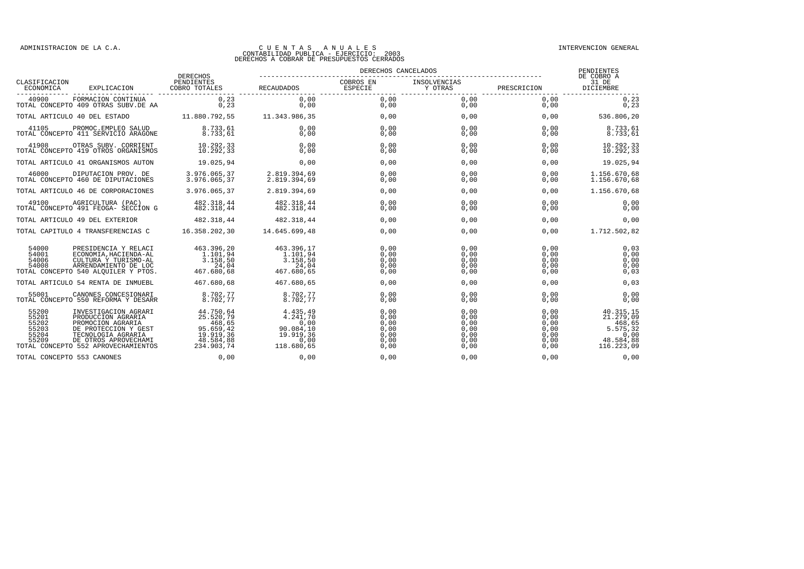|                                                                                                                                                                                                                                    |                                                                                       | DERECHOS CANCELADOS                                                          |                                                      |                                                      | PENDIENTES<br>DE COBRO A                             |                                                                                 |
|------------------------------------------------------------------------------------------------------------------------------------------------------------------------------------------------------------------------------------|---------------------------------------------------------------------------------------|------------------------------------------------------------------------------|------------------------------------------------------|------------------------------------------------------|------------------------------------------------------|---------------------------------------------------------------------------------|
| CLASIFICACION<br>EXPLICACION<br>ECONOMICA                                                                                                                                                                                          | DERECHOS<br>PENDIENTES<br>COBRO TOTALES                                               | RECAUDADOS                                                                   | COBROS EN<br><b>ESPECIE</b>                          | INSOLVENCIAS<br>Y OTRAS                              | PRESCRICION                                          | 31 DE<br>DICIEMBRE                                                              |
| 40900<br>FORMACION CONTINUA<br>TOTAL CONCEPTO 409 OTRAS SUBV.DE AA                                                                                                                                                                 | 0, 23<br>0, 23                                                                        | 0,00<br>0,00                                                                 | 0,00<br>0,00                                         | 0.00<br>0,00                                         | 0.00<br>0,00                                         | 0, 23<br>0,23                                                                   |
| TOTAL ARTICULO 40 DEL ESTADO                                                                                                                                                                                                       | 11.880.792.55                                                                         | 11.343.986,35                                                                | 0.00                                                 | 0.00                                                 | 0.00                                                 | 536.806,20                                                                      |
| 41105<br>PROMOC.EMPLEO SALUD<br>TOTAL CONCEPTO 411 SERVICIO ARAGONE                                                                                                                                                                | 8.733,61<br>8.733,61                                                                  | 0,00<br>0,00                                                                 | 0,00<br>0,00                                         | 0.00<br>0,00                                         | 0,00<br>0,00                                         | 8.733,61<br>8.733,61                                                            |
| 41908<br>OTRAS SUBV. CORRIENT<br>TOTAL CONCEPTO 419 OTROS ORGANISMOS                                                                                                                                                               | 10.292.33<br>10.292,33                                                                | 0.00<br>0,00                                                                 | 0.00<br>0,00                                         | 0.00<br>0,00                                         | 0.00<br>0,00                                         | 10.292,33<br>10.292,33                                                          |
| TOTAL ARTICULO 41 ORGANISMOS AUTON                                                                                                                                                                                                 | 19.025,94                                                                             | 0.00                                                                         | 0,00                                                 | 0,00                                                 | 0,00                                                 | 19.025,94                                                                       |
| 46000<br>DIPUTACION PROV. DE<br>TOTAL CONCEPTO 460 DE DIPUTACIONES                                                                                                                                                                 | 3.976.065,37<br>3.976.065.37                                                          | 2.819.394,69<br>2.819.394.69                                                 | 0,00<br>0,00                                         | 0,00<br>0,00                                         | 0,00<br>0.00                                         | 1.156.670,68<br>1.156.670,68                                                    |
| TOTAL ARTICULO 46 DE CORPORACIONES                                                                                                                                                                                                 | 3.976.065,37                                                                          | 2.819.394,69                                                                 | 0,00                                                 | 0,00                                                 | 0,00                                                 | 1.156.670,68                                                                    |
| 49100<br>AGRICULTURA (PAC)<br>TOTAL CONCEPTO 491 FEOGA- SECCION G                                                                                                                                                                  | 482.318.44<br>482.318.44                                                              | 482.318.44<br>482.318,44                                                     | 0.00<br>0,00                                         | 0.00<br>0.00                                         | 0.00<br>0,00                                         | 0,00<br>0,00                                                                    |
| TOTAL ARTICULO 49 DEL EXTERIOR                                                                                                                                                                                                     | 482.318.44                                                                            | 482.318,44                                                                   | 0.00                                                 | 0.00                                                 | 0.00                                                 | 0.00                                                                            |
| TOTAL CAPITULO 4 TRANSFERENCIAS C                                                                                                                                                                                                  | 16.358.202,30                                                                         | 14.645.699,48                                                                | 0,00                                                 | 0,00                                                 | 0,00                                                 | 1.712.502,82                                                                    |
| 54000<br>PRESIDENCIA Y RELACI<br>54001<br>ECONOMIA, HACIENDA-AL<br>54006<br>CULTURA Y TURISMO-AL<br>54008<br>ARRENDAMIENTO DE LOC<br>TOTAL CONCEPTO 540 ALQUILER Y PTOS.                                                           | 463.396,20<br>1.101,94<br>3.158,50<br>24,04<br>467.680,68                             | 463.396,17<br>1.101,94<br>3.158,50<br>24,04<br>467.680,65                    | 0,00<br>0,00<br>0,00<br>0,00<br>0.00                 | 0.00<br>0,00<br>0.00<br>0.00<br>0,00                 | 0.00<br>0,00<br>0.00<br>0,00<br>0,00                 | 0,03<br>0,00<br>0,00<br>0,00<br>0,03                                            |
| TOTAL ARTICULO 54 RENTA DE INMUEBL                                                                                                                                                                                                 | 467.680.68                                                                            | 467.680.65                                                                   | 0.00                                                 | 0.00                                                 | 0.00                                                 | 0,03                                                                            |
| 55001<br>CANONES CONCESIONARI<br>TOTAL CONCEPTO 550 REFORMA Y DESARR                                                                                                                                                               | 8.702,77<br>8.702,77                                                                  | 8.702,77<br>8.702,77                                                         | 0,00<br>0,00                                         | 0.00<br>0,00                                         | 0.00<br>0,00                                         | 0,00<br>0,00                                                                    |
| 55200<br>INVESTIGACION AGRARI<br>55201<br>PRODUCCION AGRARIA<br>PROMOCION AGRARIA<br>55202<br>55203<br>DE PROTECCION Y GEST<br>55204<br>TECNOLOGIA AGRARIA<br>55209<br>DE OTROS APROVECHAMI<br>TOTAL CONCEPTO 552 APROVECHAMIENTOS | 44.750,64<br>25.520,79<br>468,65<br>95.659,42<br>19.919,36<br>48.584,88<br>234.903.74 | 4.435,49<br>4.241,70<br>0,00<br>90.084,10<br>19.919.36<br>0,00<br>118.680,65 | 0,00<br>0,00<br>0,00<br>0,00<br>0.00<br>0,00<br>0.00 | 0.00<br>0,00<br>0.00<br>0.00<br>0.00<br>0,00<br>0.00 | 0,00<br>0,00<br>0.00<br>0.00<br>0.00<br>0,00<br>0.00 | 40.315,15<br>21.279,09<br>468,65<br>5.575,32<br>0,00<br>48.584,88<br>116.223,09 |
| TOTAL CONCEPTO 553 CANONES                                                                                                                                                                                                         | 0,00                                                                                  | 0,00                                                                         | 0.00                                                 | 0.00                                                 | 0,00                                                 | 0,00                                                                            |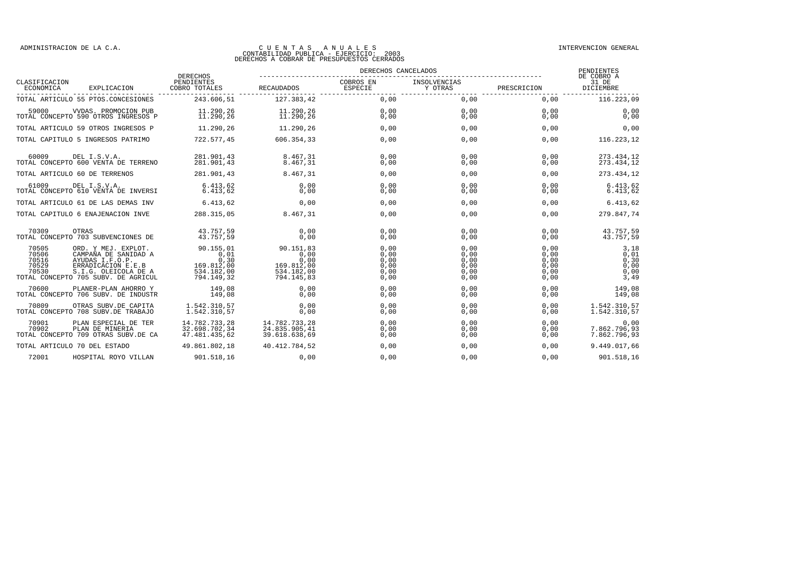|                                           |                                                                                                                                                     |                                                                     | DERECHOS CANCELADOS                                                 |                                              |                                              |                                              | PENDIENTES                                   |
|-------------------------------------------|-----------------------------------------------------------------------------------------------------------------------------------------------------|---------------------------------------------------------------------|---------------------------------------------------------------------|----------------------------------------------|----------------------------------------------|----------------------------------------------|----------------------------------------------|
| CLASIFICACION<br>ECONOMICA                | EXPLICACION                                                                                                                                         | <b>DERECHOS</b><br>PENDIENTES<br>COBRO TOTALES                      | <b>RECAUDADOS</b>                                                   | COBROS EN<br><b>ESPECIE</b>                  | INSOLVENCIAS<br>Y OTRAS                      | PRESCRICION                                  | DE COBRO A<br>31 DE<br>DICIEMBRE             |
|                                           | TOTAL ARTICULO 55 PTOS.CONCESIONES                                                                                                                  | 243.606,51                                                          | 127.383,42                                                          | 0,00                                         | 0,00                                         | 0,00                                         | 116.223,09                                   |
| 59000                                     | VVDAS. PROMOCION PUB<br>TOTAL CONCEPTO 590 OTROS INGRESOS P                                                                                         | 11.290,26<br>11.290,26                                              | 11.290.26<br>11.290.26                                              | 0,00<br>0.00                                 | 0,00<br>0.00                                 | 0.00<br>0.00                                 | 0,00<br>0,00                                 |
|                                           | TOTAL ARTICULO 59 OTROS INGRESOS P                                                                                                                  | 11.290.26                                                           | 11.290,26                                                           | 0.00                                         | 0,00                                         | 0.00                                         | 0.00                                         |
|                                           | TOTAL CAPITULO 5 INGRESOS PATRIMO                                                                                                                   | 722.577.45                                                          | 606.354.33                                                          | 0.00                                         | 0,00                                         | 0.00                                         | 116.223,12                                   |
| 60009                                     | DEL I.S.V.A.<br>TOTAL CONCEPTO 600 VENTA DE TERRENO                                                                                                 | 281.901,43<br>281.901.43                                            | 8.467.31<br>8.467.31                                                | 0.00<br>0,00                                 | 0.00<br>0,00                                 | 0.00<br>0.00                                 | 273.434,12<br>273.434,12                     |
|                                           | TOTAL ARTICULO 60 DE TERRENOS                                                                                                                       | 281.901,43                                                          | 8.467.31                                                            | 0,00                                         | 0,00                                         | 0.00                                         | 273.434,12                                   |
| 61009                                     | DEL I.S.V.A.<br>TOTAL CONCEPTO 610 VENTA DE INVERSI                                                                                                 | 6.413.62<br>6.413.62                                                | 0.00<br>0.00                                                        | 0.00<br>0,00                                 | 0,00<br>0,00                                 | 0.00<br>0,00                                 | 6.413, 62<br>6.413, 62                       |
|                                           | TOTAL ARTICULO 61 DE LAS DEMAS INV                                                                                                                  | 6.413.62                                                            | 0.00                                                                | 0,00                                         | 0,00                                         | 0.00                                         | 6.413, 62                                    |
|                                           | TOTAL CAPITULO 6 ENAJENACION INVE                                                                                                                   | 288.315,05                                                          | 8.467,31                                                            | 0,00                                         | 0,00                                         | 0,00                                         | 279.847,74                                   |
| 70309                                     | <b>OTRAS</b><br>TOTAL CONCEPTO 703 SUBVENCIONES DE                                                                                                  | 43.757,59<br>43.757.59                                              | 0.00<br>0.00                                                        | 0.00<br>0,00                                 | 0.00<br>0,00                                 | 0.00<br>0,00                                 | 43.757,59<br>43.757,59                       |
| 70505<br>70506<br>70516<br>70529<br>70530 | ORD. Y MEJ. EXPLOT.<br>CAMPAÑA DE SANIDAD A<br>AYUDAS I.F.O.P.<br>ERRADICACION E.E.B<br>S.I.G. OLEICOLA DE A<br>TOTAL CONCEPTO 705 SUBV. DE AGRICUL | 90.155.01<br>0,01<br>0,30<br>169.812,00<br>534.182,00<br>794.149,32 | 90.151.83<br>0,00<br>0.00<br>169.812,00<br>534.182,00<br>794.145,83 | 0.00<br>0,00<br>0.00<br>0,00<br>0,00<br>0,00 | 0.00<br>0,00<br>0.00<br>0,00<br>0,00<br>0,00 | 0.00<br>0.00<br>0.00<br>0,00<br>0,00<br>0,00 | 3,18<br>0,01<br>0,30<br>0,00<br>0,00<br>3,49 |
| 70600                                     | PLANER-PLAN AHORRO Y<br>TOTAL CONCEPTO 706 SUBV. DE INDUSTR                                                                                         | 149,08<br>149,08                                                    | 0.00<br>0,00                                                        | 0,00<br>0,00                                 | 0,00<br>0,00                                 | 0.00<br>0,00                                 | 149,08<br>149,08                             |
| 70809                                     | OTRAS SUBV.DE CAPITA<br>TOTAL CONCEPTO 708 SUBV.DE TRABAJO                                                                                          | 1.542.310,57<br>1.542.310,57                                        | 0.00<br>0,00                                                        | 0,00<br>0,00                                 | 0,00<br>0,00                                 | 0.00<br>0,00                                 | 1.542.310,57<br>1.542.310,57                 |
| 70901<br>70902                            | PLAN ESPECIAL DE TER<br>PLAN DE MINERIA<br>TOTAL CONCEPTO 709 OTRAS SUBV.DE CA                                                                      | 14.782.733,28<br>32.698.702,34<br>47.481.435,62                     | 14.782.733,28<br>24.835.905,41<br>39.618.638,69                     | 0,00<br>0,00<br>0,00                         | 0,00<br>0,00<br>0,00                         | 0.00<br>0,00<br>0,00                         | 0,00<br>7.862.796,93<br>7.862.796,93         |
|                                           | TOTAL ARTICULO 70 DEL ESTADO                                                                                                                        | 49.861.802,18                                                       | 40.412.784,52                                                       | 0,00                                         | 0,00                                         | 0.00                                         | 9.449.017,66                                 |
| 72001                                     | HOSPITAL ROYO VILLAN                                                                                                                                | 901.518,16                                                          | 0,00                                                                | 0,00                                         | 0,00                                         | 0,00                                         | 901.518,16                                   |